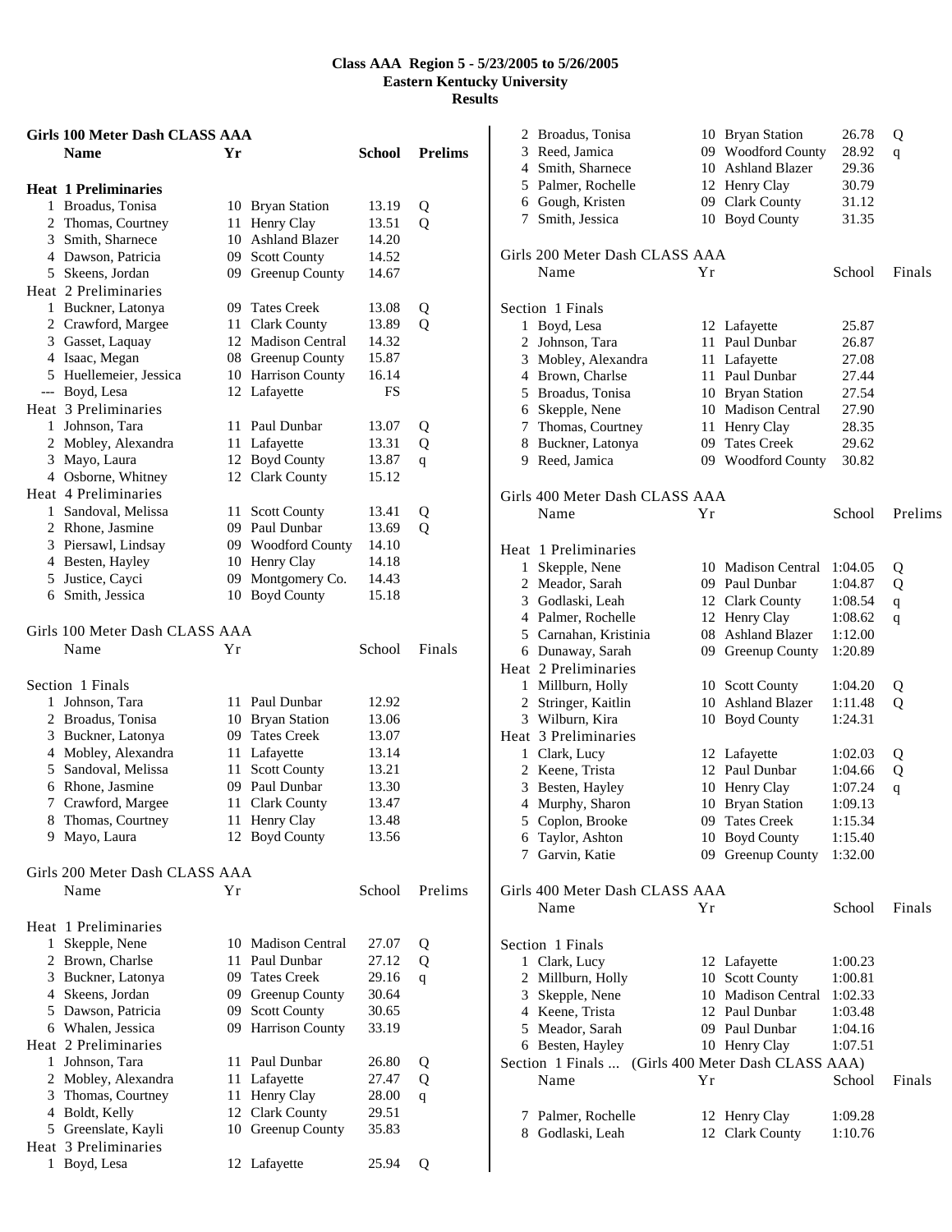|              | Girls 100 Meter Dash CLASS AAA                   |      |                        |        |                |
|--------------|--------------------------------------------------|------|------------------------|--------|----------------|
|              | <b>Name</b>                                      | Yr   |                        | School | <b>Prelims</b> |
|              |                                                  |      |                        |        |                |
|              | <b>Heat 1 Preliminaries</b><br>1 Broadus, Tonisa |      | 10 Bryan Station       | 13.19  | Q              |
|              | 2 Thomas, Courtney                               | 11   | Henry Clay             | 13.51  | Q              |
|              | 3 Smith, Sharnece                                |      | 10 Ashland Blazer      | 14.20  |                |
|              | 4 Dawson, Patricia                               |      | 09 Scott County        | 14.52  |                |
|              | 5 Skeens, Jordan                                 |      | 09 Greenup County      | 14.67  |                |
|              | Heat 2 Preliminaries                             |      |                        |        |                |
|              | 1 Buckner, Latonya                               |      | 09 Tates Creek         | 13.08  | Q              |
|              | 2 Crawford, Margee                               | 11 - | <b>Clark County</b>    | 13.89  | Q              |
|              | 3 Gasset, Laquay                                 | 12   | <b>Madison Central</b> | 14.32  |                |
|              | 4 Isaac, Megan                                   |      | 08 Greenup County      | 15.87  |                |
|              | 5 Huellemeier, Jessica                           |      | 10 Harrison County     | 16.14  |                |
|              | --- Boyd, Lesa                                   |      | 12 Lafayette           | FS     |                |
|              | Heat 3 Preliminaries                             |      |                        |        |                |
|              | 1 Johnson, Tara                                  | 11   | Paul Dunbar            | 13.07  | Q              |
|              | 2 Mobley, Alexandra                              |      | 11 Lafayette           | 13.31  | Q              |
|              | 3 Mayo, Laura                                    |      | 12 Boyd County         | 13.87  | q              |
|              | 4 Osborne, Whitney                               |      | 12 Clark County        | 15.12  |                |
|              | Heat 4 Preliminaries                             |      |                        |        |                |
|              | 1 Sandoval, Melissa                              | 11 - | <b>Scott County</b>    | 13.41  | Q              |
|              | 2 Rhone, Jasmine                                 |      | 09 Paul Dunbar         | 13.69  | Q              |
|              | 3 Piersawl, Lindsay                              |      | 09 Woodford County     | 14.10  |                |
|              | 4 Besten, Hayley                                 |      | 10 Henry Clay          | 14.18  |                |
|              | 5 Justice, Cayci                                 | 09   | Montgomery Co.         | 14.43  |                |
|              | 6 Smith, Jessica                                 | 10   | <b>Boyd County</b>     | 15.18  |                |
|              |                                                  |      |                        |        |                |
|              | Girls 100 Meter Dash CLASS AAA                   |      |                        |        |                |
|              | Name                                             | Υr   |                        | School | Finals         |
|              |                                                  |      |                        |        |                |
|              | Section 1 Finals                                 |      |                        |        |                |
|              | 1 Johnson, Tara                                  | 11   | Paul Dunbar            | 12.92  |                |
|              | 2 Broadus, Tonisa                                | 10   | <b>Bryan Station</b>   | 13.06  |                |
|              | 3 Buckner, Latonya                               | 09   | <b>Tates Creek</b>     | 13.07  |                |
|              | 4 Mobley, Alexandra                              | 11   | Lafayette              | 13.14  |                |
|              | 5 Sandoval, Melissa                              | 11   | <b>Scott County</b>    | 13.21  |                |
|              | 6 Rhone, Jasmine                                 |      | 09 Paul Dunbar         | 13.30  |                |
| 7            | Crawford, Margee                                 | 11   | <b>Clark County</b>    | 13.47  |                |
| 8.           | Thomas, Courtney                                 |      | 11 Henry Clay          | 13.48  |                |
|              | 9 Mayo, Laura                                    |      | 12 Boyd County         | 13.56  |                |
|              |                                                  |      |                        |        |                |
|              | Girls 200 Meter Dash CLASS AAA                   |      |                        |        |                |
|              | Name                                             | Υr   |                        | School | Prelims        |
|              |                                                  |      |                        |        |                |
|              | Heat 1 Preliminaries                             |      |                        |        |                |
| $\mathbf{1}$ | Skepple, Nene                                    |      | 10 Madison Central     | 27.07  | Q              |
|              | 2 Brown, Charlse                                 | 11   | Paul Dunbar            | 27.12  | Q              |
|              | 3 Buckner, Latonya                               | 09   | <b>Tates Creek</b>     | 29.16  | q              |
|              | 4 Skeens, Jordan                                 |      | 09 Greenup County      | 30.64  |                |
|              | 5 Dawson, Patricia                               | 09   | <b>Scott County</b>    | 30.65  |                |
|              | 6 Whalen, Jessica                                | 09   | <b>Harrison County</b> | 33.19  |                |
|              | Heat 2 Preliminaries                             |      |                        |        |                |
|              | 1 Johnson, Tara                                  | 11   | Paul Dunbar            | 26.80  | Q              |
|              | 2 Mobley, Alexandra                              | 11   | Lafayette              | 27.47  | Q              |
|              | 3 Thomas, Courtney                               | 11   | Henry Clay             | 28.00  | q              |
|              | 4 Boldt, Kelly                                   |      | 12 Clark County        | 29.51  |                |
| 5            | Greenslate, Kayli                                |      | 10 Greenup County      | 35.83  |                |
|              | Heat 3 Preliminaries                             |      |                        |        |                |
| 1            | Boyd, Lesa                                       |      | 12 Lafayette           | 25.94  | Q              |

|              | 2 Broadus, Tonisa                                  |    | 10 Bryan Station      | 26.78   | Q           |
|--------------|----------------------------------------------------|----|-----------------------|---------|-------------|
|              | 3 Reed, Jamica                                     |    | 09 Woodford County    | 28.92   | q           |
|              | 4 Smith, Sharnece                                  | 10 | <b>Ashland Blazer</b> | 29.36   |             |
|              | 5 Palmer, Rochelle                                 |    | 12 Henry Clay         | 30.79   |             |
|              | 6 Gough, Kristen                                   |    | 09 Clark County       | 31.12   |             |
| 7            | Smith, Jessica                                     |    | 10 Boyd County        | 31.35   |             |
|              | Girls 200 Meter Dash CLASS AAA                     |    |                       |         |             |
|              | Name                                               | Yr |                       | School  | Finals      |
|              |                                                    |    |                       |         |             |
|              | Section 1 Finals                                   |    |                       |         |             |
|              | 1 Boyd, Lesa                                       |    | 12 Lafayette          | 25.87   |             |
|              | 2 Johnson, Tara                                    | 11 | Paul Dunbar           | 26.87   |             |
|              | 3 Mobley, Alexandra                                | 11 | Lafayette             | 27.08   |             |
|              | 4 Brown, Charlse                                   | 11 | Paul Dunbar           | 27.44   |             |
|              | 5 Broadus, Tonisa                                  |    | 10 Bryan Station      | 27.54   |             |
|              | 6 Skepple, Nene                                    |    | 10 Madison Central    | 27.90   |             |
|              | 7 Thomas, Courtney                                 | 11 | Henry Clay            | 28.35   |             |
|              | 8 Buckner, Latonya                                 |    | 09 Tates Creek        | 29.62   |             |
|              | 9 Reed, Jamica                                     |    | 09 Woodford County    | 30.82   |             |
|              |                                                    |    |                       |         |             |
|              | Girls 400 Meter Dash CLASS AAA<br>Name             | Yr |                       | School  | Prelims     |
|              |                                                    |    |                       |         |             |
|              | Heat 1 Preliminaries                               |    |                       |         |             |
| $\mathbf{1}$ | Skepple, Nene                                      |    | 10 Madison Central    | 1:04.05 | Q           |
|              | 2 Meador, Sarah                                    |    | 09 Paul Dunbar        | 1:04.87 | Q           |
|              | 3 Godlaski, Leah                                   |    | 12 Clark County       | 1:08.54 | $\mathbf q$ |
|              | 4 Palmer, Rochelle                                 |    | 12 Henry Clay         | 1:08.62 | q           |
|              | 5 Carnahan, Kristinia                              | 08 | <b>Ashland Blazer</b> | 1:12.00 |             |
|              | 6 Dunaway, Sarah                                   |    | 09 Greenup County     | 1:20.89 |             |
|              | Heat 2 Preliminaries                               |    |                       |         |             |
|              | 1 Millburn, Holly                                  |    | 10 Scott County       | 1:04.20 | Q           |
|              | 2 Stringer, Kaitlin                                |    | 10 Ashland Blazer     | 1:11.48 | Q           |
|              | 3 Wilburn, Kira                                    | 10 | <b>Boyd County</b>    | 1:24.31 |             |
|              | Heat 3 Preliminaries                               |    |                       |         |             |
|              | 1 Clark, Lucy                                      | 12 | Lafayette             | 1:02.03 | Q           |
|              | 2 Keene, Trista                                    |    | 12 Paul Dunbar        | 1:04.66 | Q           |
|              | 3 Besten, Hayley                                   | 10 | Henry Clay            | 1:07.24 | q           |
|              | 4 Murphy, Sharon                                   | 10 | <b>Bryan Station</b>  | 1:09.13 |             |
|              | 5 Coplon, Brooke                                   |    | 09 Tates Creek        | 1:15.34 |             |
| 6            | Taylor, Ashton                                     |    | 10 Boyd County        | 1:15.40 |             |
| 7            | Garvin, Katie                                      |    | 09 Greenup County     | 1:32.00 |             |
|              |                                                    |    |                       |         |             |
|              | Girls 400 Meter Dash CLASS AAA                     |    |                       |         |             |
|              | Name                                               | Yr |                       | School  | Finals      |
|              | Section 1 Finals                                   |    |                       |         |             |
|              | 1 Clark, Lucy                                      |    | 12 Lafayette          | 1:00.23 |             |
|              | 2 Millburn, Holly                                  |    | 10 Scott County       | 1:00.81 |             |
|              | 3 Skepple, Nene                                    |    | 10 Madison Central    | 1:02.33 |             |
|              | 4 Keene, Trista                                    |    | 12 Paul Dunbar        | 1:03.48 |             |
|              | 5 Meador, Sarah                                    |    | 09 Paul Dunbar        | 1:04.16 |             |
|              | 6 Besten, Hayley                                   |    | 10 Henry Clay         | 1:07.51 |             |
|              | Section 1 Finals  (Girls 400 Meter Dash CLASS AAA) |    |                       |         |             |
|              | Name                                               | Υr |                       | School  | Finals      |
|              |                                                    |    |                       |         |             |
|              | 7 Palmer, Rochelle                                 |    | 12 Henry Clay         | 1:09.28 |             |
|              | 8 Godlaski, Leah                                   |    | 12 Clark County       | 1:10.76 |             |
|              |                                                    |    |                       |         |             |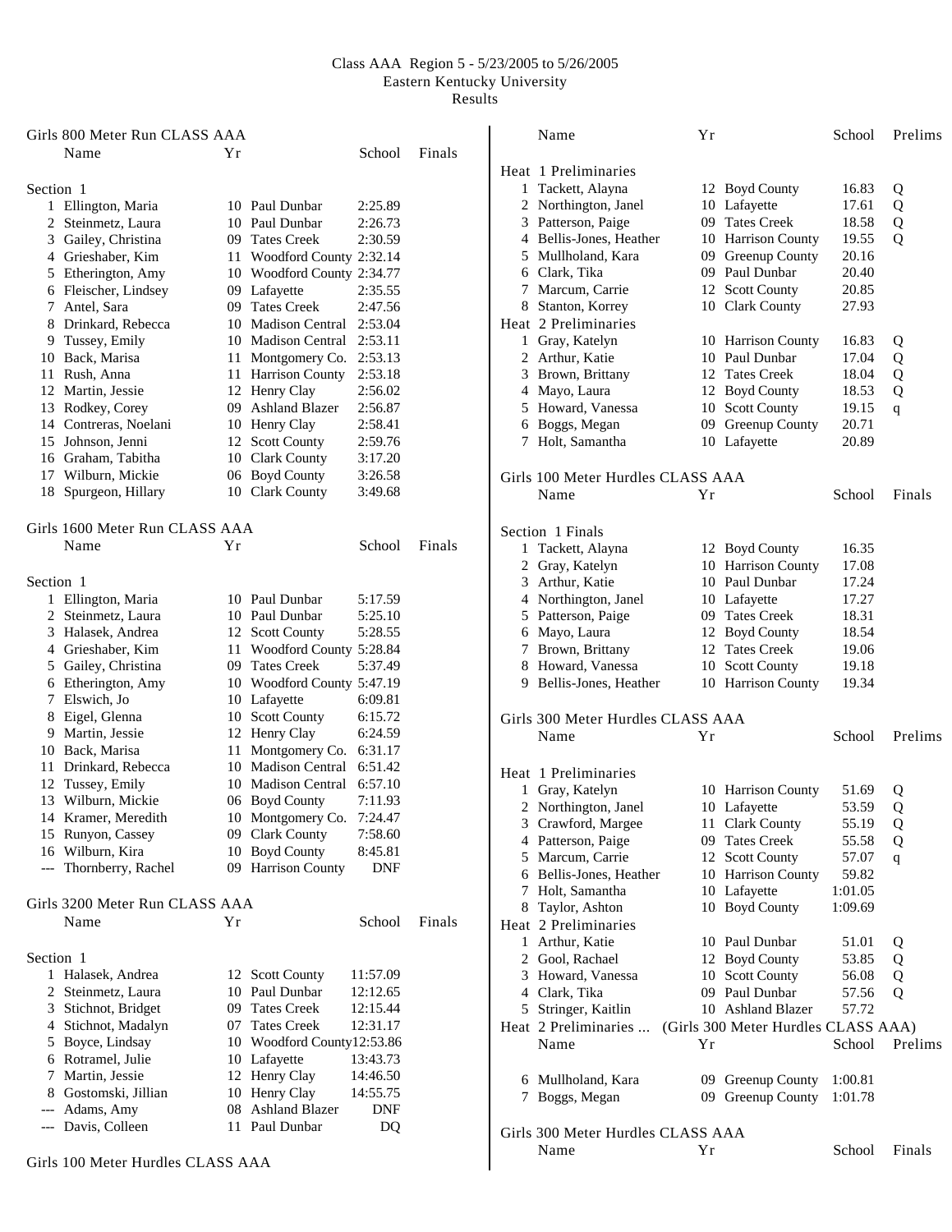|           | Girls 800 Meter Run CLASS AAA     |                               |            |        |   | Name                              | Yr |                                     | School  | Prelims |
|-----------|-----------------------------------|-------------------------------|------------|--------|---|-----------------------------------|----|-------------------------------------|---------|---------|
|           | Name                              | Yr                            | School     | Finals |   |                                   |    |                                     |         |         |
|           |                                   |                               |            |        |   | Heat 1 Preliminaries              |    |                                     |         |         |
| Section 1 |                                   |                               |            |        |   | 1 Tackett, Alayna                 |    | 12 Boyd County                      | 16.83   | Q       |
|           | 1 Ellington, Maria                | 10 Paul Dunbar                | 2:25.89    |        |   | 2 Northington, Janel              |    | 10 Lafayette                        | 17.61   | Q       |
|           | 2 Steinmetz, Laura                | 10 Paul Dunbar                | 2:26.73    |        |   | 3 Patterson, Paige                |    | 09 Tates Creek                      | 18.58   | Q       |
| 3         | Gailey, Christina                 | 09 Tates Creek                | 2:30.59    |        |   | 4 Bellis-Jones, Heather           |    | 10 Harrison County                  | 19.55   | Q       |
|           | 4 Grieshaber, Kim                 | 11 Woodford County 2:32.14    |            |        |   | 5 Mullholand, Kara                |    | 09 Greenup County                   | 20.16   |         |
|           | 5 Etherington, Amy                | 10 Woodford County 2:34.77    |            |        |   | 6 Clark, Tika                     |    | 09 Paul Dunbar                      | 20.40   |         |
|           | 6 Fleischer, Lindsey              | 09 Lafayette                  | 2:35.55    |        | 7 | Marcum, Carrie                    |    | 12 Scott County                     | 20.85   |         |
|           | 7 Antel, Sara                     | 09 Tates Creek                | 2:47.56    |        |   | 8 Stanton, Korrey                 |    | 10 Clark County                     | 27.93   |         |
| 8         | Drinkard, Rebecca                 | Madison Central 2:53.04<br>10 |            |        |   | Heat 2 Preliminaries              |    |                                     |         |         |
| 9.        | Tussey, Emily                     | 10 Madison Central 2:53.11    |            |        |   | 1 Gray, Katelyn                   |    | 10 Harrison County                  | 16.83   | Q       |
|           | 10 Back, Marisa                   | Montgomery Co. 2:53.13<br>11  |            |        |   | 2 Arthur, Katie                   |    | 10 Paul Dunbar                      | 17.04   | Q       |
|           | 11 Rush, Anna                     | 11 Harrison County            | 2:53.18    |        |   | Brown, Brittany                   |    | 12 Tates Creek                      | 18.04   |         |
|           |                                   |                               | 2:56.02    |        | 3 |                                   |    |                                     |         | Q       |
|           | 12 Martin, Jessie                 | 12 Henry Clay                 |            |        |   | 4 Mayo, Laura                     |    | 12 Boyd County                      | 18.53   | Q       |
|           | 13 Rodkey, Corey                  | 09 Ashland Blazer             | 2:56.87    |        | 5 | Howard, Vanessa                   |    | 10 Scott County                     | 19.15   | q       |
|           | 14 Contreras, Noelani             | 10 Henry Clay                 | 2:58.41    |        | 6 | Boggs, Megan                      |    | 09 Greenup County                   | 20.71   |         |
|           | 15 Johnson, Jenni                 | <b>Scott County</b><br>12     | 2:59.76    |        |   | 7 Holt, Samantha                  |    | 10 Lafayette                        | 20.89   |         |
|           | 16 Graham, Tabitha                | 10 Clark County               | 3:17.20    |        |   |                                   |    |                                     |         |         |
|           | 17 Wilburn, Mickie                | 06 Boyd County                | 3:26.58    |        |   | Girls 100 Meter Hurdles CLASS AAA |    |                                     |         |         |
|           | 18 Spurgeon, Hillary              | 10 Clark County               | 3:49.68    |        |   | Name                              | Υr |                                     | School  | Finals  |
|           |                                   |                               |            |        |   |                                   |    |                                     |         |         |
|           | Girls 1600 Meter Run CLASS AAA    |                               |            |        |   | Section 1 Finals                  |    |                                     |         |         |
|           | Name                              | Υr                            | School     | Finals |   | 1 Tackett, Alayna                 |    | 12 Boyd County                      | 16.35   |         |
|           |                                   |                               |            |        |   | 2 Gray, Katelyn                   |    | 10 Harrison County                  | 17.08   |         |
| Section 1 |                                   |                               |            |        | 3 | Arthur, Katie                     |    | 10 Paul Dunbar                      | 17.24   |         |
|           | 1 Ellington, Maria                | 10 Paul Dunbar                | 5:17.59    |        |   | 4 Northington, Janel              |    | 10 Lafayette                        | 17.27   |         |
|           | 2 Steinmetz, Laura                | 10 Paul Dunbar                | 5:25.10    |        |   | 5 Patterson, Paige                |    | 09 Tates Creek                      | 18.31   |         |
|           | 3 Halasek, Andrea                 | 12 Scott County               | 5:28.55    |        |   | 6 Mayo, Laura                     |    | 12 Boyd County                      | 18.54   |         |
|           | 4 Grieshaber, Kim                 | 11 Woodford County 5:28.84    |            |        | 7 | Brown, Brittany                   |    | 12 Tates Creek                      | 19.06   |         |
|           | 5 Gailey, Christina               | <b>Tates Creek</b><br>09      | 5:37.49    |        | 8 | Howard, Vanessa                   |    | 10 Scott County                     | 19.18   |         |
|           |                                   |                               |            |        | 9 | Bellis-Jones, Heather             |    | 10 Harrison County                  | 19.34   |         |
|           | 6 Etherington, Amy                | 10 Woodford County 5:47.19    |            |        |   |                                   |    |                                     |         |         |
|           | 7 Elswich, Jo                     | 10 Lafayette                  | 6:09.81    |        |   |                                   |    |                                     |         |         |
|           | 8 Eigel, Glenna                   | 10 Scott County               | 6:15.72    |        |   | Girls 300 Meter Hurdles CLASS AAA |    |                                     |         |         |
|           | 9 Martin, Jessie                  | 12 Henry Clay                 | 6:24.59    |        |   | Name                              | Yr |                                     | School  | Prelims |
|           | 10 Back, Marisa                   | Montgomery Co. 6:31.17<br>11  |            |        |   |                                   |    |                                     |         |         |
| 11        | Drinkard, Rebecca                 | 10 Madison Central 6:51.42    |            |        |   | Heat 1 Preliminaries              |    |                                     |         |         |
|           | 12 Tussey, Emily                  | 10 Madison Central 6:57.10    |            |        |   | 1 Gray, Katelyn                   |    | 10 Harrison County                  | 51.69   | Q       |
|           | 13 Wilburn, Mickie                | 06 Boyd County                | 7:11.93    |        |   | 2 Northington, Janel              |    | 10 Lafayette                        | 53.59   | Q       |
|           | 14 Kramer, Meredith               | 10 Montgomery Co. 7:24.47     |            |        |   | 3 Crawford, Margee                |    | 11 Clark County                     | 55.19   | Q       |
|           | 15 Runyon, Cassey                 | 09 Clark County               | 7:58.60    |        |   | 4 Patterson, Paige                |    | 09 Tates Creek                      | 55.58   | Q       |
|           | 16 Wilburn, Kira                  | 10 Boyd County                | 8:45.81    |        |   | 5 Marcum, Carrie                  |    | 12 Scott County                     | 57.07   | q       |
|           | --- Thornberry, Rachel            | 09 Harrison County            | <b>DNF</b> |        | 6 | Bellis-Jones, Heather             |    | 10 Harrison County                  | 59.82   |         |
|           |                                   |                               |            |        | 7 | Holt, Samantha                    |    | 10 Lafayette                        | 1:01.05 |         |
|           | Girls 3200 Meter Run CLASS AAA    |                               |            |        |   | 8 Taylor, Ashton                  |    | 10 Boyd County                      | 1:09.69 |         |
|           | Name                              | Yr                            | School     | Finals |   | Heat 2 Preliminaries              |    |                                     |         |         |
|           |                                   |                               |            |        |   | 1 Arthur, Katie                   |    | 10 Paul Dunbar                      | 51.01   | Q       |
| Section 1 |                                   |                               |            |        |   | 2 Gool, Rachael                   |    | 12 Boyd County                      | 53.85   | Q       |
|           | 1 Halasek, Andrea                 | 12 Scott County               | 11:57.09   |        |   | 3 Howard, Vanessa                 |    | 10 Scott County                     | 56.08   | Q       |
|           | 2 Steinmetz, Laura                | 10 Paul Dunbar                | 12:12.65   |        |   |                                   |    | 09 Paul Dunbar                      | 57.56   |         |
|           |                                   | 09 Tates Creek                | 12:15.44   |        | 4 | Clark, Tika                       |    |                                     |         | Q       |
|           | 3 Stichnot, Bridget               |                               |            |        |   | 5 Stringer, Kaitlin               |    | 10 Ashland Blazer                   | 57.72   |         |
|           | 4 Stichnot, Madalyn               | 07 Tates Creek                | 12:31.17   |        |   | Heat 2 Preliminaries              |    | (Girls 300 Meter Hurdles CLASS AAA) |         |         |
|           | 5 Boyce, Lindsay                  | 10 Woodford County12:53.86    |            |        |   | Name                              | Υr |                                     | School  | Prelims |
|           | 6 Rotramel, Julie                 | 10 Lafayette                  | 13:43.73   |        |   |                                   |    |                                     |         |         |
| 7         | Martin, Jessie                    | 12 Henry Clay                 | 14:46.50   |        |   | 6 Mullholand, Kara                |    | 09 Greenup County                   | 1:00.81 |         |
| 8         | Gostomski, Jillian                | 10 Henry Clay                 | 14:55.75   |        |   | 7 Boggs, Megan                    |    | 09 Greenup County 1:01.78           |         |         |
|           | Adams, Amy                        | 08 Ashland Blazer             | <b>DNF</b> |        |   |                                   |    |                                     |         |         |
|           | --- Davis, Colleen                | 11 Paul Dunbar                | DQ         |        |   | Girls 300 Meter Hurdles CLASS AAA |    |                                     |         |         |
|           |                                   |                               |            |        |   | Name                              | Yr |                                     | School  | Finals  |
|           | Girls 100 Meter Hurdles CLASS AAA |                               |            |        |   |                                   |    |                                     |         |         |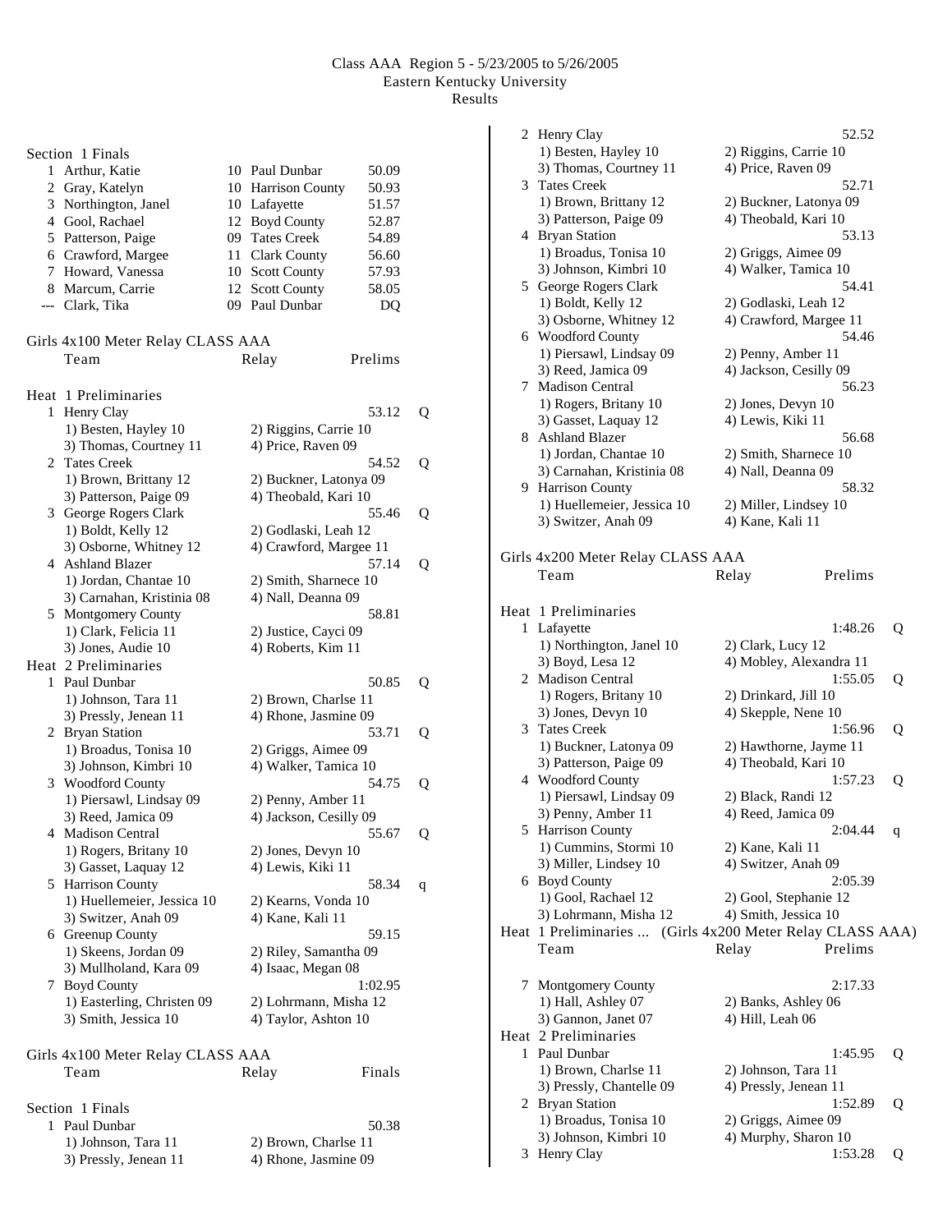|   | Section 1 Finals                  |    |                        |         |   |
|---|-----------------------------------|----|------------------------|---------|---|
|   | 1 Arthur, Katie                   |    | 10 Paul Dunbar         | 50.09   |   |
|   | 2 Gray, Katelyn                   |    | 10 Harrison County     | 50.93   |   |
|   | 3 Northington, Janel              |    | 10 Lafayette           | 51.57   |   |
|   | 4 Gool, Rachael                   |    | 12 Boyd County         | 52.87   |   |
|   | 5 Patterson, Paige                |    | 09 Tates Creek         | 54.89   |   |
|   | 6 Crawford, Margee                | 11 | <b>Clark County</b>    |         |   |
|   |                                   |    |                        | 56.60   |   |
|   | 7 Howard, Vanessa                 |    | 10 Scott County        | 57.93   |   |
|   | 8 Marcum, Carrie                  | 12 | <b>Scott County</b>    | 58.05   |   |
|   | --- Clark, Tika                   |    | 09 Paul Dunbar         | DQ      |   |
|   | Girls 4x100 Meter Relay CLASS AAA |    |                        |         |   |
|   | Team                              |    | Relay                  | Prelims |   |
|   |                                   |    |                        |         |   |
|   | Heat 1 Preliminaries              |    |                        |         |   |
| 1 | Henry Clay                        |    |                        | 53.12   | Q |
|   | 1) Besten, Hayley 10              |    | 2) Riggins, Carrie 10  |         |   |
|   | 3) Thomas, Courtney 11            |    | 4) Price, Raven 09     |         |   |
|   | 2 Tates Creek                     |    |                        | 54.52   | Q |
|   | 1) Brown, Brittany 12             |    | 2) Buckner, Latonya 09 |         |   |
|   | 3) Patterson, Paige 09            |    | 4) Theobald, Kari 10   |         |   |
|   | 3 George Rogers Clark             |    |                        | 55.46   | Q |
|   | 1) Boldt, Kelly 12                |    | 2) Godlaski, Leah 12   |         |   |
|   | 3) Osborne, Whitney 12            |    | 4) Crawford, Margee 11 |         |   |
|   | 4 Ashland Blazer                  |    |                        | 57.14   |   |
|   |                                   |    |                        |         | Q |
|   | 1) Jordan, Chantae 10             |    | 2) Smith, Sharnece 10  |         |   |
|   | 3) Carnahan, Kristinia 08         |    | 4) Nall, Deanna 09     |         |   |
|   | 5 Montgomery County               |    |                        | 58.81   |   |
|   | 1) Clark, Felicia 11              |    | 2) Justice, Cayci 09   |         |   |
|   | 3) Jones, Audie 10                |    | 4) Roberts, Kim 11     |         |   |
|   | Heat 2 Preliminaries              |    |                        |         |   |
|   | 1 Paul Dunbar                     |    |                        | 50.85   | Q |
|   | 1) Johnson, Tara 11               |    | 2) Brown, Charlse 11   |         |   |
|   | 3) Pressly, Jenean 11             |    | 4) Rhone, Jasmine 09   |         |   |
|   | 2 Bryan Station                   |    |                        | 53.71   | Q |
|   | 1) Broadus, Tonisa 10             |    | 2) Griggs, Aimee 09    |         |   |
|   | 3) Johnson, Kimbri 10             |    | 4) Walker, Tamica 10   |         |   |
|   | 3 Woodford County                 |    |                        | 54.75   | Q |
|   | 1) Piersawl, Lindsay 09           |    | 2) Penny, Amber 11     |         |   |
|   | 3) Reed, Jamica 09                |    | 4) Jackson, Cesilly 09 |         |   |
|   | 4 Madison Central                 |    |                        | 55.67   | Q |
|   | 1) Rogers, Britany 10             |    | 2) Jones, Devyn 10     |         |   |
|   | 3) Gasset, Laquay 12              |    | 4) Lewis, Kiki 11      |         |   |
|   | 5 Harrison County                 |    |                        | 58.34   | q |
|   | 1) Huellemeier, Jessica 10        |    | 2) Kearns, Vonda 10    |         |   |
|   | 3) Switzer, Anah 09               |    | 4) Kane, Kali 11       |         |   |
|   | 6 Greenup County                  |    |                        | 59.15   |   |
|   |                                   |    |                        |         |   |
|   | 1) Skeens, Jordan 09              |    | 2) Riley, Samantha 09  |         |   |
|   | 3) Mullholand, Kara 09            |    | 4) Isaac, Megan 08     |         |   |
|   | 7 Boyd County                     |    |                        | 1:02.95 |   |
|   | 1) Easterling, Christen 09        |    | 2) Lohrmann, Misha 12  |         |   |
|   | 3) Smith, Jessica 10              |    | 4) Taylor, Ashton 10   |         |   |
|   | Girls 4x100 Meter Relay CLASS AAA |    |                        |         |   |
|   | Team                              |    | Relay                  | Finals  |   |
|   |                                   |    |                        |         |   |
|   | Section 1 Finals                  |    |                        |         |   |
|   | 1 Paul Dunbar                     |    |                        | 50.38   |   |
|   | 1) Johnson, Tara 11               |    | 2) Brown, Charlse 11   |         |   |
|   |                                   |    |                        |         |   |

1) Johnson, Tara 11<br>3) Pressly, Jenean 11

4) Rhone, Jasmine 09

|      | 2 Henry Clay                                         | 52.52                   |   |
|------|------------------------------------------------------|-------------------------|---|
|      | 1) Besten, Hayley 10                                 | 2) Riggins, Carrie 10   |   |
|      | 3) Thomas, Courtney 11                               | 4) Price, Raven 09      |   |
|      | 3 Tates Creek                                        | 52.71                   |   |
|      | 1) Brown, Brittany 12                                | 2) Buckner, Latonya 09  |   |
|      | 3) Patterson, Paige 09                               | 4) Theobald, Kari 10    |   |
|      | 4 Bryan Station                                      | 53.13                   |   |
|      | 1) Broadus, Tonisa 10                                | 2) Griggs, Aimee 09     |   |
|      | 3) Johnson, Kimbri 10                                | 4) Walker, Tamica 10    |   |
|      | 5 George Rogers Clark                                | 54.41                   |   |
|      | 1) Boldt, Kelly 12                                   | 2) Godlaski, Leah 12    |   |
|      | 3) Osborne, Whitney 12                               | 4) Crawford, Margee 11  |   |
|      | 6 Woodford County                                    | 54.46                   |   |
|      | 1) Piersawl, Lindsay 09                              | 2) Penny, Amber 11      |   |
|      | 3) Reed, Jamica 09                                   | 4) Jackson, Cesilly 09  |   |
| 7    | <b>Madison Central</b>                               | 56.23                   |   |
|      | 1) Rogers, Britany 10                                | 2) Jones, Devyn 10      |   |
|      | 3) Gasset, Laquay 12                                 | 4) Lewis, Kiki 11       |   |
| 8    | <b>Ashland Blazer</b>                                | 56.68                   |   |
|      | 1) Jordan, Chantae 10                                | 2) Smith, Sharnece 10   |   |
|      | 3) Carnahan, Kristinia 08                            | 4) Nall, Deanna 09      |   |
| 9.   | <b>Harrison County</b>                               | 58.32                   |   |
|      | 1) Huellemeier, Jessica 10                           | 2) Miller, Lindsey 10   |   |
|      | 3) Switzer, Anah 09                                  | 4) Kane, Kali 11        |   |
|      |                                                      |                         |   |
|      | Girls 4x200 Meter Relay CLASS AAA                    |                         |   |
|      | Team                                                 | Prelims<br>Relay        |   |
|      |                                                      |                         |   |
|      | Heat 1 Preliminaries                                 |                         |   |
|      | 1 Lafayette                                          | 1:48.26                 | Q |
|      | 1) Northington, Janel 10                             | 2) Clark, Lucy 12       |   |
|      | 3) Boyd, Lesa 12                                     | 4) Mobley, Alexandra 11 |   |
|      | 2 Madison Central                                    | 1:55.05                 | Q |
|      | 1) Rogers, Britany 10                                | 2) Drinkard, Jill 10    |   |
|      | 3) Jones, Devyn 10                                   | 4) Skepple, Nene 10     |   |
|      | 3 Tates Creek                                        | 1:56.96                 | Q |
|      | 1) Buckner, Latonya 09                               | 2) Hawthorne, Jayme 11  |   |
|      | 3) Patterson, Paige 09                               | 4) Theobald, Kari 10    |   |
|      | 4 Woodford County                                    | 1:57.23                 | Q |
|      | 1) Piersawl, Lindsay 09                              | 2) Black, Randi 12      |   |
|      | 3) Penny, Amber 11                                   | 4) Reed, Jamica 09      |   |
|      | 5 Harrison County                                    | 2:04.44                 | q |
|      | 1) Cummins, Stormi 10                                | 2) Kane, Kali 11        |   |
|      | 3) Miller, Lindsey 10                                | 4) Switzer, Anah 09     |   |
| 6    | <b>Boyd County</b>                                   | 2:05.39                 |   |
|      | 1) Gool, Rachael 12                                  | 2) Gool, Stephanie 12   |   |
|      | 3) Lohrmann, Misha 12                                | 4) Smith, Jessica 10    |   |
| Heat | 1 Preliminaries  (Girls 4x200 Meter Relay CLASS AAA) |                         |   |
|      | Team                                                 | Prelims<br>Relay        |   |
|      |                                                      |                         |   |
|      | 7 Montgomery County                                  | 2:17.33                 |   |
|      | 1) Hall, Ashley 07                                   | 2) Banks, Ashley 06     |   |
|      | 3) Gannon, Janet 07                                  | 4) Hill, Leah 06        |   |
|      | Heat 2 Preliminaries                                 |                         |   |
| 1    | Paul Dunbar                                          | 1:45.95                 | Q |
|      | 1) Brown, Charlse 11                                 | 2) Johnson, Tara 11     |   |
|      | 3) Pressly, Chantelle 09                             | 4) Pressly, Jenean 11   |   |
|      | 2 Bryan Station                                      | 1:52.89                 | Q |
|      | 1) Broadus, Tonisa 10                                | 2) Griggs, Aimee 09     |   |
|      | 3) Johnson, Kimbri 10                                | 4) Murphy, Sharon 10    |   |
| 3    | Henry Clay                                           | 1:53.28                 | Q |
|      |                                                      |                         |   |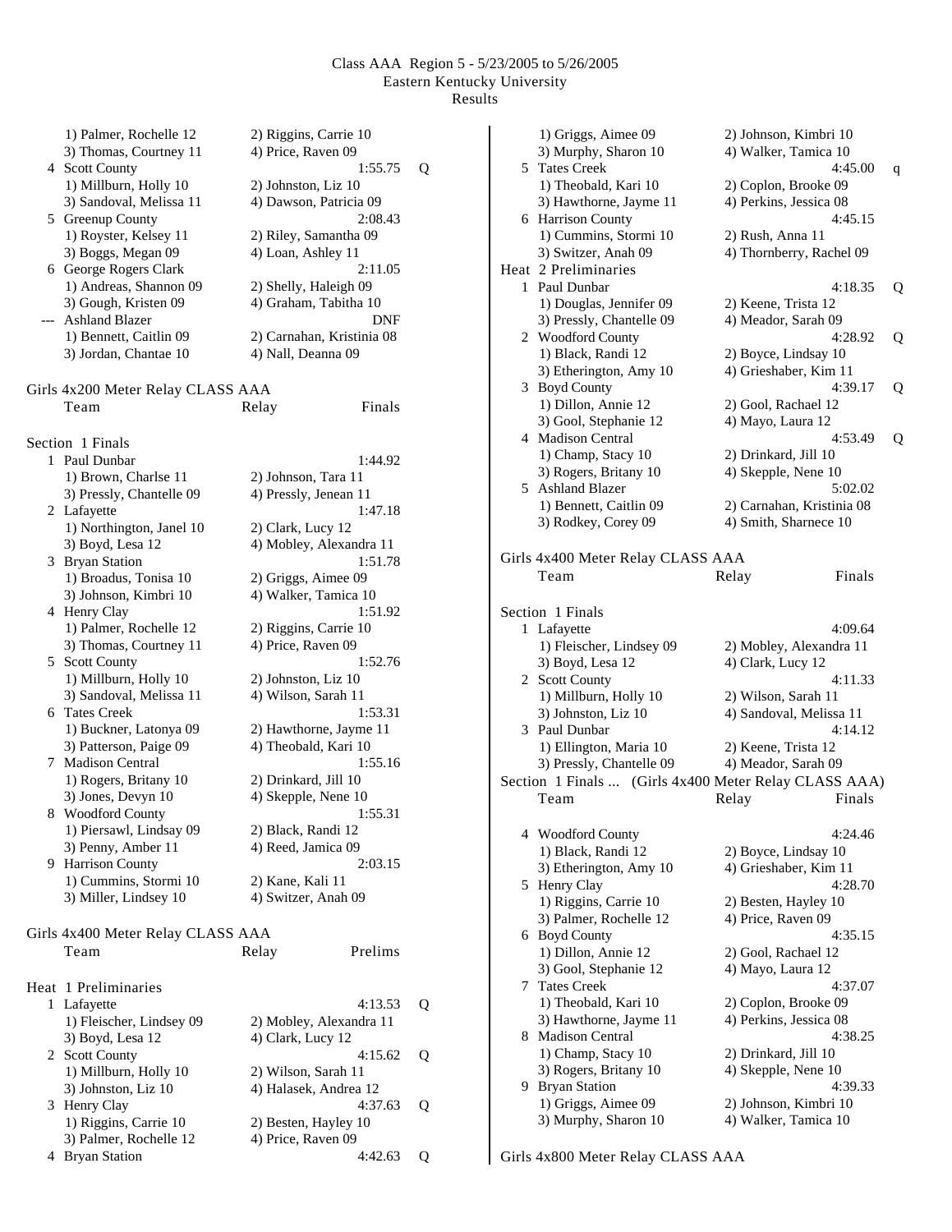|       | 1) Palmer, Rochelle 12<br>3) Thomas, Courtney 11<br>4 Scott County | 2) Riggins, Carrie 10<br>4) Price, Raven 09<br>1:55.75 | Q |
|-------|--------------------------------------------------------------------|--------------------------------------------------------|---|
|       | 1) Millburn, Holly 10<br>3) Sandoval, Melissa 11                   | 2) Johnston, Liz 10<br>4) Dawson, Patricia 09          |   |
|       | 5 Greenup County                                                   | 2:08.43                                                |   |
|       | 1) Royster, Kelsey 11                                              | 2) Riley, Samantha 09                                  |   |
|       | 3) Boggs, Megan 09                                                 | 4) Loan, Ashley 11                                     |   |
|       | 6 George Rogers Clark                                              | 2:11.05                                                |   |
|       | 1) Andreas, Shannon 09                                             | 2) Shelly, Haleigh 09                                  |   |
|       | 3) Gough, Kristen 09                                               | 4) Graham, Tabitha 10                                  |   |
| $---$ | <b>Ashland Blazer</b>                                              | DNF                                                    |   |
|       | 1) Bennett, Caitlin 09                                             | 2) Carnahan, Kristinia 08                              |   |
|       | 3) Jordan, Chantae 10                                              | 4) Nall, Deanna 09                                     |   |
|       |                                                                    |                                                        |   |
|       | Girls 4x200 Meter Relay CLASS AAA                                  |                                                        |   |
|       | Team                                                               | Relay<br>Finals                                        |   |
|       |                                                                    |                                                        |   |
|       | Section 1 Finals                                                   |                                                        |   |
|       | 1 Paul Dunbar                                                      | 1:44.92                                                |   |
|       | 1) Brown, Charlse 11                                               |                                                        |   |
|       | 3) Pressly, Chantelle 09                                           | 2) Johnson, Tara 11<br>4) Pressly, Jenean 11           |   |
|       | 2 Lafayette                                                        | 1:47.18                                                |   |
|       | 1) Northington, Janel 10                                           | 2) Clark, Lucy 12                                      |   |
|       | 3) Boyd, Lesa 12                                                   | 4) Mobley, Alexandra 11                                |   |
| 3     | <b>Bryan Station</b>                                               | 1:51.78                                                |   |
|       | 1) Broadus, Tonisa 10                                              | 2) Griggs, Aimee 09                                    |   |
|       | 3) Johnson, Kimbri 10                                              | 4) Walker, Tamica 10                                   |   |
|       | 4 Henry Clay                                                       | 1:51.92                                                |   |
|       | 1) Palmer, Rochelle 12                                             | 2) Riggins, Carrie 10                                  |   |
|       | 3) Thomas, Courtney 11                                             | 4) Price, Raven 09                                     |   |
|       | 5 Scott County                                                     | 1:52.76                                                |   |
|       | 1) Millburn, Holly 10                                              | 2) Johnston, Liz 10                                    |   |
|       | 3) Sandoval, Melissa 11                                            | 4) Wilson, Sarah 11                                    |   |
| 6     | <b>Tates Creek</b>                                                 | 1:53.31                                                |   |
|       | 1) Buckner, Latonya 09                                             | 2) Hawthorne, Jayme 11                                 |   |
|       | 3) Patterson, Paige 09                                             | 4) Theobald, Kari 10                                   |   |
|       | 7 Madison Central                                                  | 1:55.16                                                |   |
|       | 1) Rogers, Britany 10                                              | 2) Drinkard, Jill 10                                   |   |
|       | 3) Jones, Devyn 10                                                 | 4) Skepple, Nene 10                                    |   |
| 8     | <b>Woodford County</b>                                             | 1:55.31                                                |   |
|       | 1) Piersawl, Lindsay 09                                            | 2) Black, Randi 12                                     |   |
|       | 3) Penny, Amber 11                                                 | 4) Reed, Jamica 09                                     |   |
| 9.    | <b>Harrison County</b>                                             | 2:03.15                                                |   |
|       | 1) Cummins, Stormi 10                                              | 2) Kane, Kali 11                                       |   |
|       | 3) Miller, Lindsey 10                                              | 4) Switzer, Anah 09                                    |   |
|       |                                                                    |                                                        |   |
|       | Girls 4x400 Meter Relay CLASS AAA                                  |                                                        |   |
|       | Team                                                               | Prelims<br>Relay                                       |   |
|       |                                                                    |                                                        |   |
|       | Heat 1 Preliminaries                                               |                                                        |   |
| 1     | Lafayette                                                          | 4:13.53                                                | Q |
|       | 1) Fleischer, Lindsey 09                                           | 2) Mobley, Alexandra 11                                |   |
|       | 3) Boyd, Lesa 12                                                   | 4) Clark, Lucy 12                                      |   |
|       | 2 Scott County                                                     | 4:15.62                                                | Q |
|       | 1) Millburn, Holly 10                                              | 2) Wilson, Sarah 11                                    |   |
|       | 3) Johnston, Liz 10                                                | 4) Halasek, Andrea 12                                  |   |
|       | 3 Henry Clay                                                       | 4:37.63                                                | Q |
|       | 1) Riggins, Carrie 10                                              | 2) Besten, Hayley 10                                   |   |
|       | 3) Palmer, Rochelle 12                                             | 4) Price, Raven 09                                     |   |
|       | 4 Bryan Station                                                    | 4:42.63                                                | Q |

|              | 1) Griggs, Aimee 09               | 2) Johnson, Kimbri 10                                 |   |
|--------------|-----------------------------------|-------------------------------------------------------|---|
|              | 3) Murphy, Sharon 10              | 4) Walker, Tamica 10                                  |   |
|              | 5 Tates Creek                     | 4:45.00                                               | q |
|              | 1) Theobald, Kari 10              | 2) Coplon, Brooke 09                                  |   |
|              | 3) Hawthorne, Jayme 11            | 4) Perkins, Jessica 08                                |   |
|              | 6 Harrison County                 | 4:45.15                                               |   |
|              | 1) Cummins, Stormi 10             | 2) Rush, Anna 11                                      |   |
|              | 3) Switzer, Anah 09               | 4) Thornberry, Rachel 09                              |   |
|              | Heat 2 Preliminaries              |                                                       |   |
| $\mathbf{1}$ | Paul Dunbar                       | 4:18.35                                               | Q |
|              | 1) Douglas, Jennifer 09           | 2) Keene, Trista 12                                   |   |
|              | 3) Pressly, Chantelle 09          | 4) Meador, Sarah 09                                   |   |
|              | 2 Woodford County                 | 4:28.92                                               |   |
|              | 1) Black, Randi 12                | 2) Boyce, Lindsay 10                                  | Q |
|              |                                   |                                                       |   |
|              | 3) Etherington, Amy 10            | 4) Grieshaber, Kim 11                                 |   |
|              | 3 Boyd County                     | 4:39.17                                               | Q |
|              | 1) Dillon, Annie 12               | 2) Gool, Rachael 12                                   |   |
|              | 3) Gool, Stephanie 12             | 4) Mayo, Laura 12                                     |   |
|              | 4 Madison Central                 | 4:53.49                                               | Q |
|              | 1) Champ, Stacy 10                | 2) Drinkard, Jill 10                                  |   |
|              | 3) Rogers, Britany 10             | 4) Skepple, Nene 10                                   |   |
| 5            | <b>Ashland Blazer</b>             | 5:02.02                                               |   |
|              | 1) Bennett, Caitlin 09            | 2) Carnahan, Kristinia 08                             |   |
|              | 3) Rodkey, Corey 09               | 4) Smith, Sharnece 10                                 |   |
|              |                                   |                                                       |   |
|              | Girls 4x400 Meter Relay CLASS AAA |                                                       |   |
|              | Team                              | Relay<br>Finals                                       |   |
|              |                                   |                                                       |   |
|              | Section 1 Finals                  |                                                       |   |
| 1            | Lafayette                         | 4:09.64                                               |   |
|              | 1) Fleischer, Lindsey 09          | 2) Mobley, Alexandra 11                               |   |
|              | 3) Boyd, Lesa 12                  | 4) Clark, Lucy 12                                     |   |
|              | 2 Scott County                    | 4:11.33                                               |   |
|              | 1) Millburn, Holly 10             | 2) Wilson, Sarah 11                                   |   |
|              | 3) Johnston, Liz 10               | 4) Sandoval, Melissa 11                               |   |
| 3            | Paul Dunbar                       | 4:14.12                                               |   |
|              | 1) Ellington, Maria 10            | 2) Keene, Trista 12                                   |   |
|              | 3) Pressly, Chantelle 09          | 4) Meador, Sarah 09                                   |   |
|              |                                   | Section 1 Finals  (Girls 4x400 Meter Relay CLASS AAA) |   |
|              | Team                              | Finals<br>Relay                                       |   |
|              |                                   |                                                       |   |
|              | 4 Woodford County                 | 4:24.46                                               |   |
|              | 1) Black, Randi 12                | 2) Boyce, Lindsay 10                                  |   |
|              | 3) Etherington, Amy 10            | 4) Grieshaber, Kim 11                                 |   |
|              |                                   |                                                       |   |
| 5            | Henry Clay                        | 4:28.70                                               |   |
|              | 1) Riggins, Carrie 10             | 2) Besten, Hayley 10                                  |   |
|              | 3) Palmer, Rochelle 12            | 4) Price, Raven 09                                    |   |
| 6            | <b>Boyd County</b>                | 4:35.15                                               |   |
|              | 1) Dillon, Annie 12               | 2) Gool, Rachael 12                                   |   |
|              | 3) Gool, Stephanie 12             | 4) Mayo, Laura 12                                     |   |
| 7            | <b>Tates Creek</b>                | 4:37.07                                               |   |
|              | 1) Theobald, Kari 10              | 2) Coplon, Brooke 09                                  |   |
|              | 3) Hawthorne, Jayme 11            | 4) Perkins, Jessica 08                                |   |
| 8.           | Madison Central                   | 4:38.25                                               |   |
|              | 1) Champ, Stacy 10                | 2) Drinkard, Jill 10                                  |   |
|              | 3) Rogers, Britany 10             | 4) Skepple, Nene 10                                   |   |
| 9            | <b>Bryan Station</b>              | 4:39.33                                               |   |
|              | 1) Griggs, Aimee 09               | 2) Johnson, Kimbri 10                                 |   |
|              | 3) Murphy, Sharon 10              | 4) Walker, Tamica 10                                  |   |
|              |                                   |                                                       |   |

Girls 4x800 Meter Relay CLASS AAA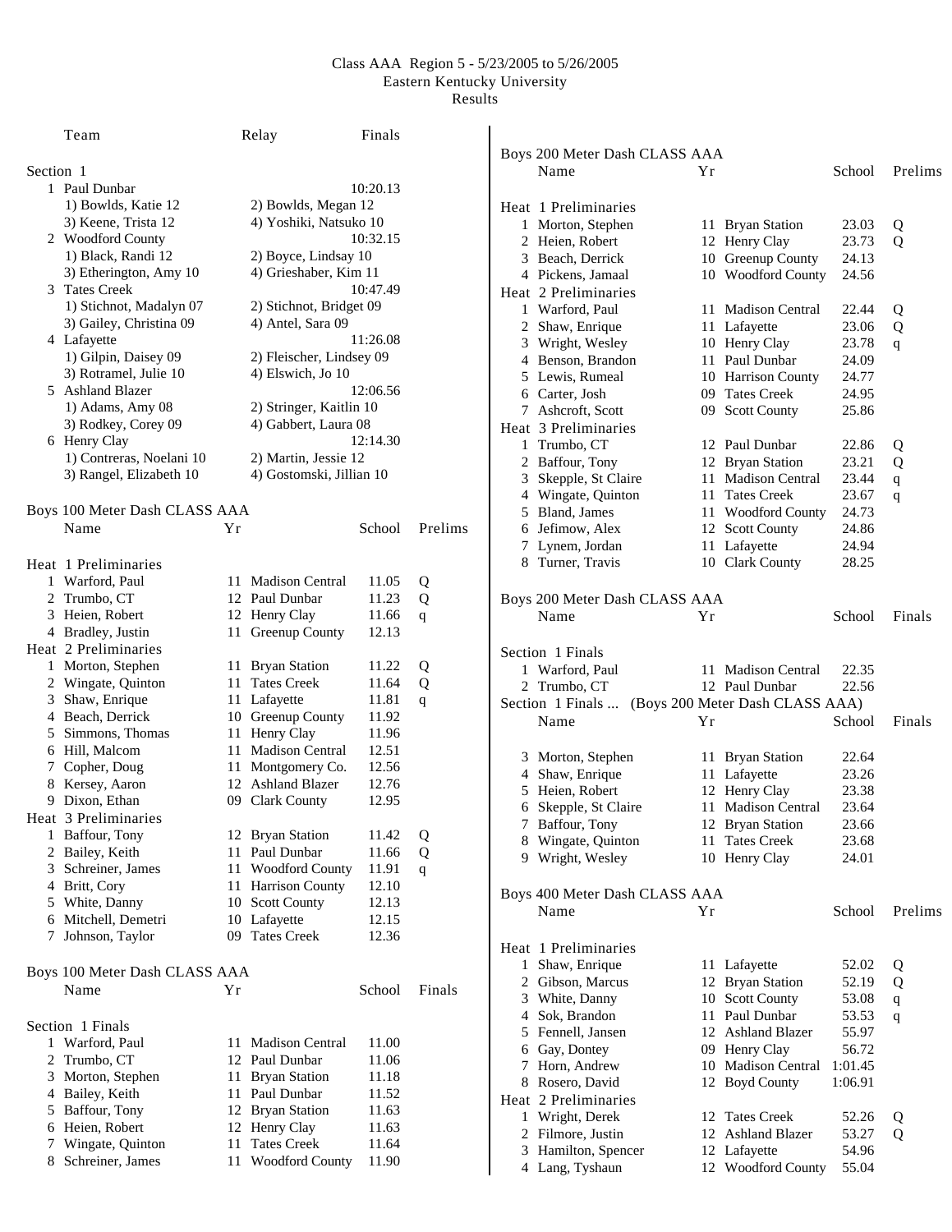|           | Team                          |     | Relay                    | Finals   |             |   |                                                   |    |                    |         |         |
|-----------|-------------------------------|-----|--------------------------|----------|-------------|---|---------------------------------------------------|----|--------------------|---------|---------|
|           |                               |     |                          |          |             |   | Boys 200 Meter Dash CLASS AAA                     |    |                    |         |         |
| Section 1 |                               |     |                          |          |             |   | Name                                              | Yr |                    | School  | Prelims |
|           | 1 Paul Dunbar                 |     |                          | 10:20.13 |             |   |                                                   |    |                    |         |         |
|           | 1) Bowlds, Katie 12           |     | 2) Bowlds, Megan 12      |          |             |   | Heat 1 Preliminaries                              |    |                    |         |         |
|           | 3) Keene, Trista 12           |     | 4) Yoshiki, Natsuko 10   |          |             |   | 1 Morton, Stephen                                 |    | 11 Bryan Station   | 23.03   | Q       |
|           | 2 Woodford County             |     |                          | 10:32.15 |             |   | 2 Heien, Robert                                   |    | 12 Henry Clay      | 23.73   | Q       |
|           | 1) Black, Randi 12            |     | 2) Boyce, Lindsay 10     |          |             |   | 3 Beach, Derrick                                  |    | 10 Greenup County  | 24.13   |         |
|           | 3) Etherington, Amy 10        |     | 4) Grieshaber, Kim 11    |          |             |   | 4 Pickens, Jamaal                                 |    | 10 Woodford County | 24.56   |         |
|           | 3 Tates Creek                 |     |                          | 10:47.49 |             |   | Heat 2 Preliminaries                              |    |                    |         |         |
|           | 1) Stichnot, Madalyn 07       |     | 2) Stichnot, Bridget 09  |          |             |   |                                                   |    |                    |         |         |
|           | 3) Gailey, Christina 09       |     | 4) Antel, Sara 09        |          |             |   | 1 Warford, Paul                                   |    | 11 Madison Central | 22.44   | Q       |
|           |                               |     |                          | 11:26.08 |             |   | 2 Shaw, Enrique                                   |    | 11 Lafayette       | 23.06   | Q       |
|           | 4 Lafayette                   |     |                          |          |             |   | 3 Wright, Wesley                                  |    | 10 Henry Clay      | 23.78   | q       |
|           | 1) Gilpin, Daisey 09          |     | 2) Fleischer, Lindsey 09 |          |             |   | 4 Benson, Brandon                                 |    | 11 Paul Dunbar     | 24.09   |         |
|           | 3) Rotramel, Julie 10         |     | 4) Elswich, Jo 10        |          |             |   | 5 Lewis, Rumeal                                   |    | 10 Harrison County | 24.77   |         |
|           | 5 Ashland Blazer              |     |                          | 12:06.56 |             |   | 6 Carter, Josh                                    |    | 09 Tates Creek     | 24.95   |         |
|           | 1) Adams, Amy 08              |     | 2) Stringer, Kaitlin 10  |          |             |   | 7 Ashcroft, Scott                                 |    | 09 Scott County    | 25.86   |         |
|           | 3) Rodkey, Corey 09           |     | 4) Gabbert, Laura 08     |          |             |   | Heat 3 Preliminaries                              |    |                    |         |         |
|           | 6 Henry Clay                  |     |                          | 12:14.30 |             |   | 1 Trumbo, CT                                      |    | 12 Paul Dunbar     | 22.86   | Q       |
|           | 1) Contreras, Noelani 10      |     | 2) Martin, Jessie 12     |          |             |   | 2 Baffour, Tony                                   |    | 12 Bryan Station   | 23.21   | Q       |
|           | 3) Rangel, Elizabeth 10       |     | 4) Gostomski, Jillian 10 |          |             | 3 | Skepple, St Claire                                |    | 11 Madison Central | 23.44   | q       |
|           |                               |     |                          |          |             |   | 4 Wingate, Quinton                                |    | 11 Tates Creek     | 23.67   | q       |
|           | Boys 100 Meter Dash CLASS AAA |     |                          |          |             |   | 5 Bland, James                                    |    | 11 Woodford County | 24.73   |         |
|           | Name                          | Yr  |                          | School   | Prelims     | 6 | Jefimow, Alex                                     |    | 12 Scott County    | 24.86   |         |
|           |                               |     |                          |          |             |   | 7 Lynem, Jordan                                   |    | 11 Lafayette       | 24.94   |         |
|           |                               |     |                          |          |             |   |                                                   |    |                    |         |         |
|           | Heat 1 Preliminaries          |     |                          |          |             |   | 8 Turner, Travis                                  |    | 10 Clark County    | 28.25   |         |
|           | 1 Warford, Paul               |     | 11 Madison Central       | 11.05    | Q           |   |                                                   |    |                    |         |         |
|           | 2 Trumbo, CT                  |     | 12 Paul Dunbar           | 11.23    | Q           |   | Boys 200 Meter Dash CLASS AAA                     |    |                    |         |         |
|           | 3 Heien, Robert               |     | 12 Henry Clay            | 11.66    | $\mathbf q$ |   | Name                                              | Yr |                    | School  | Finals  |
|           | 4 Bradley, Justin             |     | 11 Greenup County        | 12.13    |             |   |                                                   |    |                    |         |         |
|           | Heat 2 Preliminaries          |     |                          |          |             |   | Section 1 Finals                                  |    |                    |         |         |
|           | 1 Morton, Stephen             |     | 11 Bryan Station         | 11.22    | Q           |   | 1 Warford, Paul                                   |    | 11 Madison Central | 22.35   |         |
|           | 2 Wingate, Quinton            |     | 11 Tates Creek           | 11.64    | Q           |   | 2 Trumbo, CT                                      |    | 12 Paul Dunbar     | 22.56   |         |
|           | Shaw, Enrique                 |     | 11 Lafayette             | 11.81    | $\mathbf q$ |   |                                                   |    |                    |         |         |
| 4         | Beach, Derrick                |     | 10 Greenup County        | 11.92    |             |   | Section 1 Finals  (Boys 200 Meter Dash CLASS AAA) |    |                    |         |         |
| 5.        | Simmons, Thomas               |     | 11 Henry Clay            | 11.96    |             |   | Name                                              | Yr |                    | School  | Finals  |
|           | 6 Hill, Malcom                |     | 11 Madison Central       | 12.51    |             |   |                                                   |    |                    |         |         |
|           |                               |     |                          |          |             |   | 3 Morton, Stephen                                 |    | 11 Bryan Station   | 22.64   |         |
|           | 7 Copher, Doug                |     | 11 Montgomery Co.        | 12.56    |             |   | 4 Shaw, Enrique                                   |    | 11 Lafayette       | 23.26   |         |
|           | 8 Kersey, Aaron               |     | 12 Ashland Blazer        | 12.76    |             |   | 5 Heien, Robert                                   |    | 12 Henry Clay      | 23.38   |         |
|           | 9 Dixon, Ethan                |     | 09 Clark County          | 12.95    |             |   | 6 Skepple, St Claire                              |    | 11 Madison Central | 23.64   |         |
|           | Heat 3 Preliminaries          |     |                          |          |             |   | 7 Baffour, Tony                                   |    | 12 Bryan Station   | 23.66   |         |
|           | 1 Baffour, Tony               |     | 12 Bryan Station         | 11.42    | Q           |   | 8 Wingate, Quinton                                |    | 11 Tates Creek     | 23.68   |         |
|           | 2 Bailey, Keith               |     | 11 Paul Dunbar           | 11.66    | Q           |   | 9 Wright, Wesley                                  |    | 10 Henry Clay      | 24.01   |         |
|           | 3 Schreiner, James            |     | 11 Woodford County       | 11.91    | $\mathbf q$ |   |                                                   |    |                    |         |         |
|           | 4 Britt, Cory                 |     | 11 Harrison County       | 12.10    |             |   |                                                   |    |                    |         |         |
|           | 5 White, Danny                |     | 10 Scott County          | 12.13    |             |   | Boys 400 Meter Dash CLASS AAA                     |    |                    |         |         |
| 6         | Mitchell, Demetri             |     | 10 Lafayette             | 12.15    |             |   | Name                                              | Yr |                    | School  | Prelims |
|           | 7 Johnson, Taylor             | 09. | <b>Tates Creek</b>       | 12.36    |             |   |                                                   |    |                    |         |         |
|           |                               |     |                          |          |             |   | Heat 1 Preliminaries                              |    |                    |         |         |
|           |                               |     |                          |          |             |   | 1 Shaw, Enrique                                   |    | 11 Lafayette       | 52.02   | Q       |
|           | Boys 100 Meter Dash CLASS AAA |     |                          |          |             |   | 2 Gibson, Marcus                                  |    | 12 Bryan Station   | 52.19   | Q       |
|           | Name                          | Yr  |                          | School   | Finals      |   | 3 White, Danny                                    |    | 10 Scott County    | 53.08   | q       |
|           |                               |     |                          |          |             |   | 4 Sok, Brandon                                    |    | 11 Paul Dunbar     | 53.53   | q       |
|           | Section 1 Finals              |     |                          |          |             | 5 | Fennell, Jansen                                   |    | 12 Ashland Blazer  | 55.97   |         |
|           | 1 Warford, Paul               |     | 11 Madison Central       | 11.00    |             |   |                                                   |    |                    |         |         |
|           | 2 Trumbo, CT                  |     | 12 Paul Dunbar           | 11.06    |             | 6 | Gay, Dontey                                       |    | 09 Henry Clay      | 56.72   |         |
|           | 3 Morton, Stephen             |     | 11 Bryan Station         | 11.18    |             |   | 7 Horn, Andrew                                    |    | 10 Madison Central | 1:01.45 |         |
|           | 4 Bailey, Keith               |     | 11 Paul Dunbar           | 11.52    |             |   | 8 Rosero, David                                   |    | 12 Boyd County     | 1:06.91 |         |
|           | 5 Baffour, Tony               |     | 12 Bryan Station         | 11.63    |             |   | Heat 2 Preliminaries                              |    |                    |         |         |
|           |                               |     |                          |          |             |   | 1 Wright, Derek                                   |    | 12 Tates Creek     | 52.26   | Q       |
| 6         | Heien, Robert                 |     | 12 Henry Clay            | 11.63    |             |   | 2 Filmore, Justin                                 |    | 12 Ashland Blazer  | 53.27   | Q       |
| 7         | Wingate, Quinton              | 11  | <b>Tates Creek</b>       | 11.64    |             |   | 3 Hamilton, Spencer                               |    | 12 Lafayette       | 54.96   |         |
|           | 8 Schreiner, James            |     | 11 Woodford County       | 11.90    |             |   | 4 Lang, Tyshaun                                   |    | 12 Woodford County | 55.04   |         |
|           |                               |     |                          |          |             |   |                                                   |    |                    |         |         |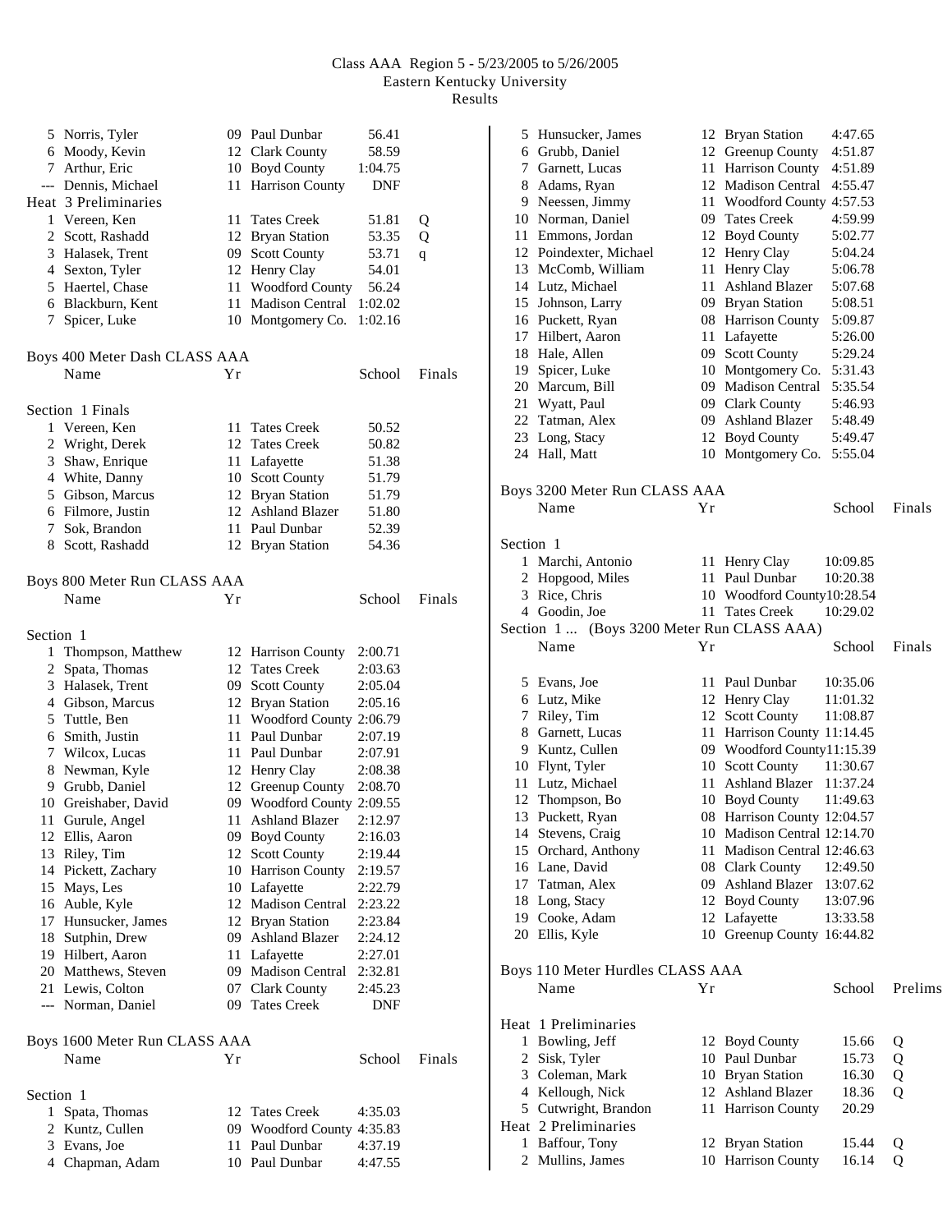|           | 5 Norris, Tyler<br>6 Moody, Kevin |    | 09 Paul Dunbar<br>12 Clark County | 56.41<br>58.59 |        |
|-----------|-----------------------------------|----|-----------------------------------|----------------|--------|
|           | 7 Arthur, Eric                    |    | 10 Boyd County                    | 1:04.75        |        |
|           | --- Dennis, Michael               |    | 11 Harrison County                | DNF            |        |
|           | Heat 3 Preliminaries              |    |                                   |                |        |
|           | 1 Vereen, Ken                     |    | 11 Tates Creek                    | 51.81          | Q      |
|           | 2 Scott, Rashadd                  |    | 12 Bryan Station                  | 53.35          | Q      |
|           | 3 Halasek, Trent                  |    | 09 Scott County                   | 53.71          | q      |
|           | 4 Sexton, Tyler                   |    | 12 Henry Clay                     | 54.01          |        |
|           | 5 Haertel, Chase                  |    | 11 Woodford County                | 56.24          |        |
|           | 6 Blackburn, Kent                 | 11 | <b>Madison Central</b>            | 1:02.02        |        |
|           | 7 Spicer, Luke                    |    | 10 Montgomery Co.                 | 1:02.16        |        |
|           | Boys 400 Meter Dash CLASS AAA     |    |                                   |                |        |
|           | Name                              | Yr |                                   | School         | Finals |
|           | Section 1 Finals                  |    |                                   |                |        |
|           | 1 Vereen, Ken                     | 11 | <b>Tates Creek</b>                | 50.52          |        |
|           | 2 Wright, Derek                   |    | 12 Tates Creek                    | 50.82          |        |
|           | 3 Shaw, Enrique                   |    | 11 Lafayette                      | 51.38          |        |
|           | 4 White, Danny                    |    | 10 Scott County                   | 51.79          |        |
|           | 5 Gibson, Marcus                  |    | 12 Bryan Station                  | 51.79          |        |
|           | 6 Filmore, Justin                 |    | 12 Ashland Blazer                 | 51.80          |        |
|           | 7 Sok, Brandon                    |    | 11 Paul Dunbar                    | 52.39          |        |
|           | 8 Scott, Rashadd                  |    | 12 Bryan Station                  | 54.36          |        |
|           | Boys 800 Meter Run CLASS AAA      |    |                                   |                |        |
|           | Name                              | Υr |                                   | School         | Finals |
| Section 1 |                                   |    |                                   |                |        |
|           | 1 Thompson, Matthew               |    | 12 Harrison County                | 2:00.71        |        |
|           | 2 Spata, Thomas                   |    | 12 Tates Creek                    | 2:03.63        |        |
|           | 3 Halasek, Trent                  |    | 09 Scott County                   | 2:05.04        |        |
|           | 4 Gibson, Marcus                  |    | 12 Bryan Station                  | 2:05.16        |        |
|           | 5 Tuttle, Ben                     |    | 11 Woodford County 2:06.79        |                |        |
|           | 6 Smith, Justin                   |    | 11 Paul Dunbar                    | 2:07.19        |        |
|           | 7 Wilcox, Lucas                   |    | 11 Paul Dunbar                    | 2:07.91        |        |
|           | 8 Newman, Kyle                    |    | 12 Henry Clay                     | 2:08.38        |        |
|           | 9 Grubb, Daniel                   |    | 12 Greenup County                 | 2:08.70        |        |
|           | 10 Greishaber, David              |    | 09 Woodford County 2:09.55        |                |        |
|           | 11 Gurule, Angel                  |    | 11 Ashland Blazer                 | 2:12.97        |        |
|           | 12 Ellis, Aaron                   |    | 09 Boyd County                    | 2:16.03        |        |
|           | 13 Riley, Tim                     |    | 12 Scott County                   | 2:19.44        |        |
|           | 14 Pickett, Zachary               |    | 10 Harrison County                | 2:19.57        |        |
|           | 15 Mays, Les                      |    | 10 Lafayette                      | 2:22.79        |        |
|           | 16 Auble, Kyle                    |    | 12 Madison Central                | 2:23.22        |        |
|           | 17 Hunsucker, James               |    | 12 Bryan Station                  | 2:23.84        |        |
|           | 18 Sutphin, Drew                  |    | 09 Ashland Blazer                 | 2:24.12        |        |
|           | 19 Hilbert, Aaron                 |    | 11 Lafayette                      | 2:27.01        |        |
|           | 20 Matthews, Steven               |    | 09 Madison Central                | 2:32.81        |        |
|           | 21 Lewis, Colton                  |    | 07 Clark County                   | 2:45.23        |        |
|           | --- Norman, Daniel                |    | 09 Tates Creek                    | <b>DNF</b>     |        |
|           | Boys 1600 Meter Run CLASS AAA     |    |                                   |                |        |
|           | Name                              | Υr |                                   | School         | Finals |
| Section 1 |                                   |    |                                   |                |        |
| 1         | Spata, Thomas                     |    | 12 Tates Creek                    | 4:35.03        |        |
|           | 2 Kuntz, Cullen                   |    | 09 Woodford County 4:35.83        |                |        |
|           | 3 Evans, Joe                      |    | 11 Paul Dunbar                    | 4:37.19        |        |
|           | 4 Chapman, Adam                   |    | 10 Paul Dunbar                    | 4:47.55        |        |

|           | 5 Hunsucker, James                         |      | 12 Bryan Station            | 4:47.65  |         |
|-----------|--------------------------------------------|------|-----------------------------|----------|---------|
|           | 6 Grubb, Daniel                            |      | 12 Greenup County           | 4:51.87  |         |
|           | 7 Garnett, Lucas                           |      | 11 Harrison County          | 4:51.89  |         |
|           | 8 Adams, Ryan                              |      | 12 Madison Central          | 4:55.47  |         |
|           | 9 Neessen, Jimmy                           |      | 11 Woodford County 4:57.53  |          |         |
|           | 10 Norman, Daniel                          |      | 09 Tates Creek              | 4:59.99  |         |
|           | 11 Emmons, Jordan                          |      | 12 Boyd County              | 5:02.77  |         |
|           | 12 Poindexter, Michael                     |      | 12 Henry Clay               | 5:04.24  |         |
|           | 13 McComb, William                         |      | 11 Henry Clay               | 5:06.78  |         |
|           | 14 Lutz, Michael                           |      | 11 Ashland Blazer           | 5:07.68  |         |
|           | 15 Johnson, Larry                          |      | 09 Bryan Station            | 5:08.51  |         |
|           | 16 Puckett, Ryan                           |      | 08 Harrison County          | 5:09.87  |         |
|           | 17 Hilbert, Aaron                          |      | 11 Lafayette                | 5:26.00  |         |
|           | 18 Hale, Allen                             |      | 09 Scott County             | 5:29.24  |         |
|           | 19 Spicer, Luke                            |      | 10 Montgomery Co.           | 5:31.43  |         |
|           | 20 Marcum, Bill                            |      | 09 Madison Central          | 5:35.54  |         |
|           | 21 Wyatt, Paul                             |      | 09 Clark County             | 5:46.93  |         |
|           | 22 Tatman, Alex                            |      | 09 Ashland Blazer           | 5:48.49  |         |
|           | 23 Long, Stacy                             |      | 12 Boyd County              | 5:49.47  |         |
|           | 24 Hall, Matt                              |      | 10 Montgomery Co.           | 5:55.04  |         |
|           |                                            |      |                             |          |         |
|           | Boys 3200 Meter Run CLASS AAA              |      |                             |          |         |
|           | Name                                       | Yr   |                             | School   | Finals  |
|           |                                            |      |                             |          |         |
| Section 1 |                                            |      |                             |          |         |
|           | 1 Marchi, Antonio                          |      | 11 Henry Clay               | 10:09.85 |         |
|           | 2 Hopgood, Miles                           |      | 11 Paul Dunbar              | 10:20.38 |         |
|           | 3 Rice, Chris                              |      | 10 Woodford County10:28.54  |          |         |
|           | 4 Goodin, Joe                              | 11   | <b>Tates Creek</b>          | 10:29.02 |         |
|           | Section 1  (Boys 3200 Meter Run CLASS AAA) |      |                             |          |         |
|           | Name                                       | Yr   |                             |          | Finals  |
|           |                                            |      |                             | School   |         |
|           |                                            |      |                             |          |         |
|           |                                            |      |                             |          |         |
|           | 5 Evans, Joe                               |      | 11 Paul Dunbar              | 10:35.06 |         |
|           | 6 Lutz, Mike                               |      | 12 Henry Clay               | 11:01.32 |         |
|           | 7 Riley, Tim                               |      | 12 Scott County             | 11:08.87 |         |
|           | 8 Garnett, Lucas                           |      | 11 Harrison County 11:14.45 |          |         |
|           | 9 Kuntz, Cullen                            |      | 09 Woodford County11:15.39  |          |         |
|           | 10 Flynt, Tyler                            |      | 10 Scott County             | 11:30.67 |         |
|           | 11 Lutz, Michael                           | 11   | <b>Ashland Blazer</b>       | 11:37.24 |         |
| 12        | Thompson, Bo                               |      | 10 Boyd County              | 11:49.63 |         |
| 13        | Puckett, Ryan                              |      | 08 Harrison County 12:04.57 |          |         |
|           | 14 Stevens, Craig                          |      | 10 Madison Central 12:14.70 |          |         |
|           | 15 Orchard, Anthony                        | 11 - | Madison Central 12:46.63    |          |         |
|           | 16 Lane, David                             |      | 08 Clark County             | 12:49.50 |         |
|           | 17 Tatman, Alex                            |      | 09 Ashland Blazer           | 13:07.62 |         |
|           | 18 Long, Stacy                             |      | 12 Boyd County              | 13:07.96 |         |
|           | 19 Cooke, Adam                             |      | 12 Lafayette                | 13:33.58 |         |
|           | 20 Ellis, Kyle                             |      | 10 Greenup County 16:44.82  |          |         |
|           |                                            |      |                             |          |         |
|           | Boys 110 Meter Hurdles CLASS AAA           |      |                             |          |         |
|           | Name                                       | Υr   |                             | School   | Prelims |
|           |                                            |      |                             |          |         |
|           | Heat 1 Preliminaries                       |      |                             |          |         |
| 1         | Bowling, Jeff                              |      | 12 Boyd County              | 15.66    | Q       |
|           | 2 Sisk, Tyler                              |      | 10 Paul Dunbar              | 15.73    | Q       |
|           | 3 Coleman, Mark                            |      | 10 Bryan Station            | 16.30    | Q       |
|           | 4 Kellough, Nick                           |      | 12 Ashland Blazer           | 18.36    | Q       |
|           | 5 Cutwright, Brandon                       |      | 11 Harrison County          | 20.29    |         |
|           | Heat 2 Preliminaries                       |      |                             |          |         |
|           | 1 Baffour, Tony                            |      | 12 Bryan Station            | 15.44    |         |
|           | 2 Mullins, James                           |      | 10 Harrison County          | 16.14    | Q<br>Q  |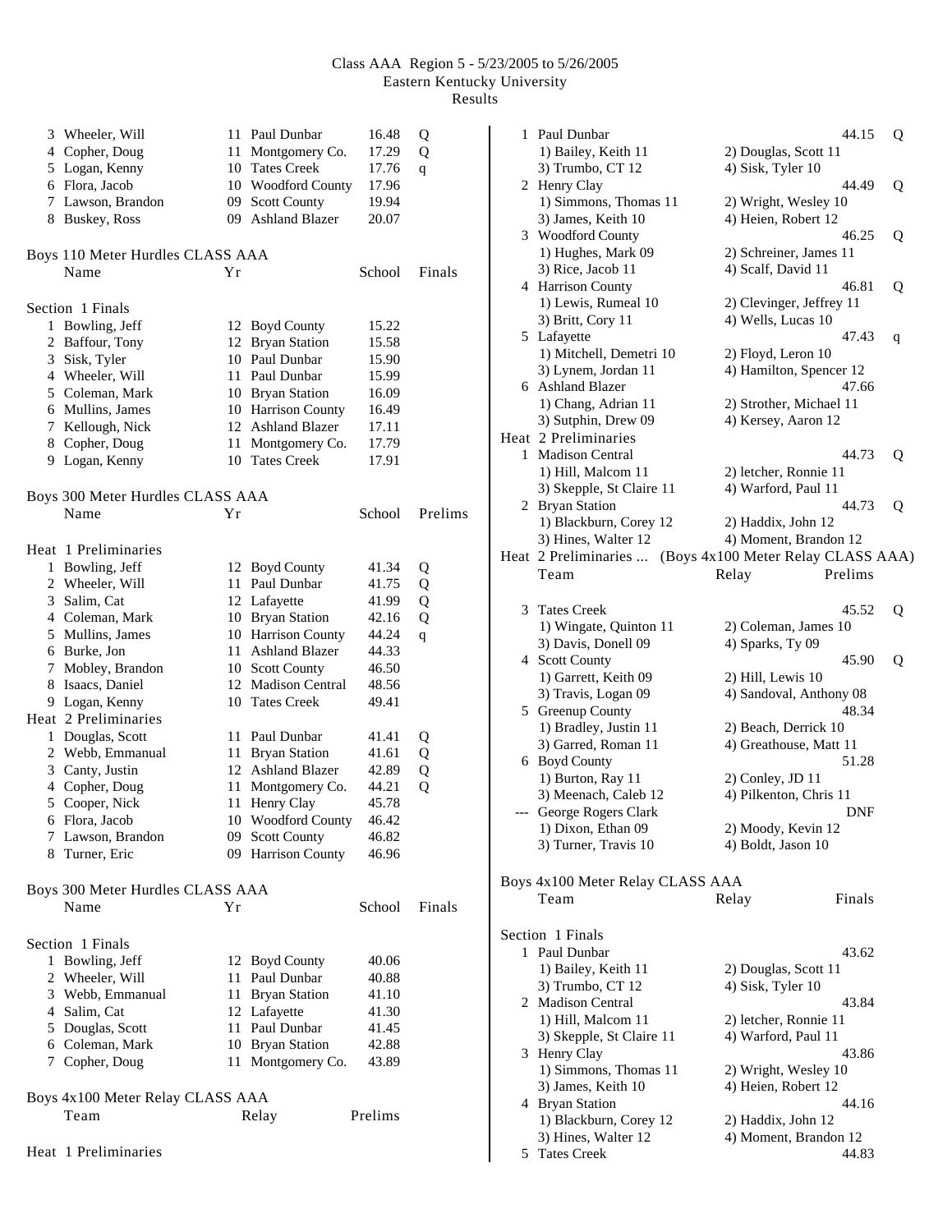| 3  | Wheeler, Will                            |    | 11 Paul Dunbar                        | 16.48          | Q       |
|----|------------------------------------------|----|---------------------------------------|----------------|---------|
|    | 4 Copher, Doug                           | 11 | Montgomery Co.                        | 17.29          | Q       |
|    | 5 Logan, Kenny                           |    | 10 Tates Creek                        | 17.76          | q       |
|    | 6 Flora, Jacob                           |    | 10 Woodford County                    | 17.96          |         |
|    | 7 Lawson, Brandon                        |    | 09 Scott County                       | 19.94          |         |
|    | 8 Buskey, Ross                           |    | 09 Ashland Blazer                     | 20.07          |         |
|    | Boys 110 Meter Hurdles CLASS AAA         |    |                                       |                |         |
|    | Name                                     | Υr |                                       | School         | Finals  |
|    | Section 1 Finals                         |    |                                       |                |         |
|    | 1 Bowling, Jeff                          | 12 | <b>Boyd County</b>                    | 15.22          |         |
|    | 2 Baffour, Tony                          | 12 | <b>Bryan Station</b>                  | 15.58          |         |
|    | 3 Sisk, Tyler                            |    | 10 Paul Dunbar                        | 15.90          |         |
|    | 4 Wheeler, Will                          |    | 11 Paul Dunbar                        | 15.99          |         |
|    | 5 Coleman, Mark                          |    | 10 Bryan Station                      | 16.09          |         |
|    | 6 Mullins, James                         |    | 10 Harrison County                    | 16.49          |         |
|    | 7 Kellough, Nick                         |    | 12 Ashland Blazer                     | 17.11          |         |
|    | 8 Copher, Doug                           | 11 | Montgomery Co.                        | 17.79          |         |
|    | 9 Logan, Kenny                           |    | 10 Tates Creek                        | 17.91          |         |
|    | Boys 300 Meter Hurdles CLASS AAA         |    |                                       |                |         |
|    | Name                                     | Υr |                                       | School         | Prelims |
|    | Heat 1 Preliminaries                     |    |                                       |                |         |
|    | 1 Bowling, Jeff                          |    | 12 Boyd County                        | 41.34          | Q       |
|    | 2 Wheeler, Will                          | 11 | Paul Dunbar                           | 41.75          | Q       |
|    | 3 Salim, Cat                             |    | 12 Lafayette                          | 41.99          | Q       |
|    | 4 Coleman, Mark                          |    | 10 Bryan Station                      | 42.16          | Q       |
|    | 5 Mullins, James                         |    | 10 Harrison County                    | 44.24          | q       |
|    | 6 Burke, Jon                             | 11 | <b>Ashland Blazer</b>                 | 44.33          |         |
|    | 7 Mobley, Brandon                        |    | 10 Scott County                       | 46.50          |         |
|    | 8 Isaacs, Daniel                         |    | 12 Madison Central                    | 48.56          |         |
|    | 9 Logan, Kenny                           |    | 10 Tates Creek                        | 49.41          |         |
|    | Heat 2 Preliminaries                     |    |                                       |                |         |
|    | 1 Douglas, Scott                         | 11 | Paul Dunbar                           | 41.41          | Q       |
|    | 2 Webb, Emmanual                         | 11 | <b>Bryan Station</b>                  | 41.61          | Q       |
|    | 3 Canty, Justin                          |    | 12 Ashland Blazer                     | 42.89          | Q       |
|    | 4 Copher, Doug                           | 11 | Montgomery Co.                        | 44.21          | Q       |
| 5  | Cooper, Nick                             | 11 | Henry Clay                            | 45.78          |         |
| 6  | Flora, Jacob                             |    | 10 Woodford County                    | 46.42          |         |
| 8. | 7 Lawson, Brandon<br>Turner, Eric        |    | 09 Scott County<br>09 Harrison County | 46.82<br>46.96 |         |
|    |                                          |    |                                       |                |         |
|    | Boys 300 Meter Hurdles CLASS AAA<br>Name | Υr |                                       | School         | Finals  |
|    |                                          |    |                                       |                |         |
|    | Section 1 Finals                         |    |                                       |                |         |
|    | 1 Bowling, Jeff                          |    | 12 Boyd County                        | 40.06          |         |
|    | 2 Wheeler, Will                          | 11 | Paul Dunbar                           | 40.88          |         |
|    | 3 Webb, Emmanual                         | 11 | <b>Bryan Station</b>                  | 41.10          |         |
|    | 4 Salim, Cat                             |    | 12 Lafayette                          | 41.30          |         |
|    | 5 Douglas, Scott                         | 11 | Paul Dunbar                           | 41.45          |         |
|    | 6 Coleman, Mark                          |    | 10 Bryan Station                      | 42.88          |         |
|    | 7 Copher, Doug                           | 11 | Montgomery Co.                        | 43.89          |         |
|    | Boys 4x100 Meter Relay CLASS AAA         |    |                                       |                |         |
|    | Team                                     |    | Relay                                 | Prelims        |         |

| Heat 1 Preliminaries |  |  |  |
|----------------------|--|--|--|
|                      |  |  |  |

|                  | 1 Paul Dunbar                                            | 44.15                    |   |  |
|------------------|----------------------------------------------------------|--------------------------|---|--|
|                  |                                                          |                          | Q |  |
|                  | 1) Bailey, Keith 11                                      | 2) Douglas, Scott 11     |   |  |
|                  | 3) Trumbo, CT 12                                         | 4) Sisk, Tyler 10        |   |  |
|                  | 2 Henry Clay                                             | 44.49                    | Q |  |
|                  | 1) Simmons, Thomas 11                                    | 2) Wright, Wesley 10     |   |  |
|                  | 3) James, Keith 10                                       | 4) Heien, Robert 12      |   |  |
|                  | 3 Woodford County                                        | 46.25                    | Q |  |
|                  | 1) Hughes, Mark 09                                       | 2) Schreiner, James 11   |   |  |
|                  | 3) Rice, Jacob 11                                        | 4) Scalf, David 11       |   |  |
|                  | 4 Harrison County                                        | 46.81                    | Q |  |
|                  | 1) Lewis, Rumeal 10                                      | 2) Clevinger, Jeffrey 11 |   |  |
|                  | 3) Britt, Cory 11                                        | 4) Wells, Lucas 10       |   |  |
|                  | 5 Lafayette                                              | 47.43                    | q |  |
|                  | 1) Mitchell, Demetri 10                                  | 2) Floyd, Leron 10       |   |  |
|                  | 3) Lynem, Jordan 11                                      | 4) Hamilton, Spencer 12  |   |  |
|                  | 6 Ashland Blazer                                         | 47.66                    |   |  |
|                  | 1) Chang, Adrian 11                                      | 2) Strother, Michael 11  |   |  |
|                  | 3) Sutphin, Drew 09                                      | 4) Kersey, Aaron 12      |   |  |
|                  | Heat 2 Preliminaries                                     |                          |   |  |
|                  | 1 Madison Central                                        | 44.73                    |   |  |
|                  |                                                          |                          | Q |  |
|                  | 1) Hill, Malcom 11                                       | 2) letcher, Ronnie 11    |   |  |
|                  | 3) Skepple, St Claire 11                                 | 4) Warford, Paul 11      |   |  |
|                  | 2 Bryan Station                                          | 44.73                    | Q |  |
|                  | 1) Blackburn, Corey 12                                   | 2) Haddix, John 12       |   |  |
|                  | 3) Hines, Walter 12                                      | 4) Moment, Brandon 12    |   |  |
|                  | Heat 2 Preliminaries  (Boys 4x100 Meter Relay CLASS AAA) |                          |   |  |
|                  | Team                                                     | Prelims<br>Relay         |   |  |
|                  |                                                          |                          |   |  |
|                  | 3 Tates Creek                                            | 45.52                    | Q |  |
|                  | 1) Wingate, Quinton 11                                   | 2) Coleman, James 10     |   |  |
|                  | 3) Davis, Donell 09                                      | 4) Sparks, Ty 09         |   |  |
|                  | 4 Scott County                                           | 45.90                    | Q |  |
|                  | 1) Garrett, Keith 09                                     | 2) Hill, Lewis 10        |   |  |
|                  | 3) Travis, Logan 09                                      | 4) Sandoval, Anthony 08  |   |  |
|                  | 5 Greenup County                                         | 48.34                    |   |  |
|                  |                                                          |                          |   |  |
|                  | 1) Bradley, Justin 11                                    | 2) Beach, Derrick 10     |   |  |
|                  | 3) Garred, Roman 11                                      | 4) Greathouse, Matt 11   |   |  |
|                  | 6 Boyd County                                            | 51.28                    |   |  |
|                  | 1) Burton, Ray 11                                        | 2) Conley, JD 11         |   |  |
|                  | 3) Meenach, Caleb 12                                     | 4) Pilkenton, Chris 11   |   |  |
|                  | --- George Rogers Clark                                  | DNF                      |   |  |
|                  | 1) Dixon, Ethan 09                                       | 2) Moody, Kevin 12       |   |  |
|                  | 3) Turner, Travis 10                                     | 4) Boldt, Jason 10       |   |  |
|                  |                                                          |                          |   |  |
|                  | Boys 4x100 Meter Relay CLASS AAA                         |                          |   |  |
|                  | Team                                                     | Finals<br>Relay          |   |  |
|                  |                                                          |                          |   |  |
| Section 1 Finals |                                                          |                          |   |  |
|                  | 1 Paul Dunbar                                            | 43.62                    |   |  |
|                  | 1) Bailey, Keith 11                                      | 2) Douglas, Scott 11     |   |  |
|                  | 3) Trumbo, CT 12                                         | 4) Sisk, Tyler 10        |   |  |
|                  | 2 Madison Central                                        | 43.84                    |   |  |
|                  | 1) Hill, Malcom 11                                       | 2) letcher, Ronnie 11    |   |  |
|                  | 3) Skepple, St Claire 11                                 | 4) Warford, Paul 11      |   |  |
|                  | 3 Henry Clay                                             | 43.86                    |   |  |
|                  | 1) Simmons, Thomas 11                                    |                          |   |  |
|                  |                                                          | 2) Wright, Wesley 10     |   |  |
|                  | 3) James, Keith 10                                       | 4) Heien, Robert 12      |   |  |
|                  | 4 Bryan Station                                          | 44.16                    |   |  |
|                  | 1) Blackburn, Corey 12                                   | 2) Haddix, John 12       |   |  |
|                  | 3) Hines, Walter 12                                      | 4) Moment, Brandon 12    |   |  |
|                  | 5 Tates Creek                                            | 44.83                    |   |  |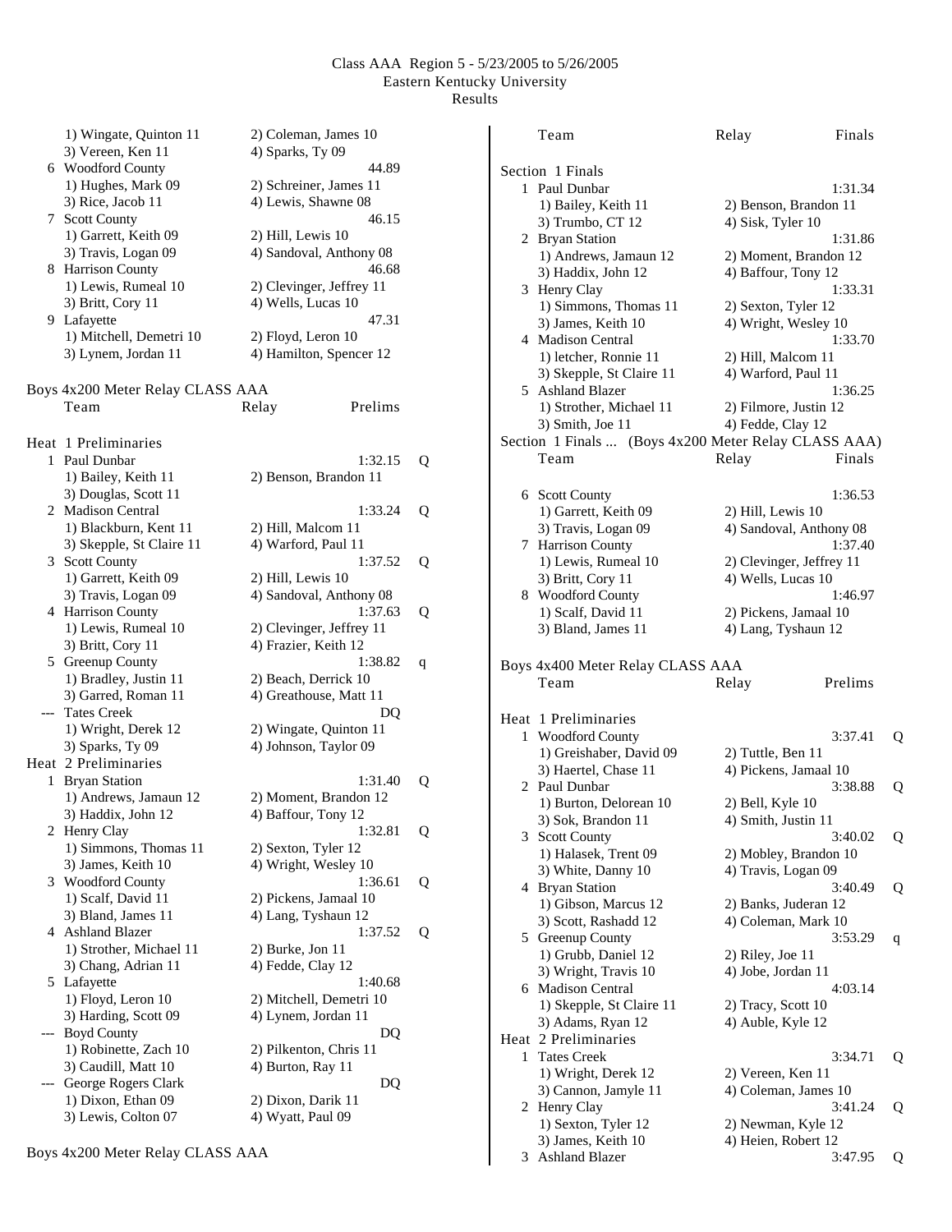|              | 1) Wingate, Quinton 11           | 2) Coleman, James 10     |   |
|--------------|----------------------------------|--------------------------|---|
|              | 3) Vereen, Ken 11                | 4) Sparks, Ty 09         |   |
|              | 6 Woodford County                | 44.89                    |   |
|              | 1) Hughes, Mark 09               | 2) Schreiner, James 11   |   |
|              | 3) Rice, Jacob 11                | 4) Lewis, Shawne 08      |   |
|              | 7 Scott County                   | 46.15                    |   |
|              | 1) Garrett, Keith 09             | 2) Hill, Lewis 10        |   |
|              | 3) Travis, Logan 09              | 4) Sandoval, Anthony 08  |   |
| 8            | <b>Harrison County</b>           | 46.68                    |   |
|              | 1) Lewis, Rumeal 10              |                          |   |
|              |                                  | 2) Clevinger, Jeffrey 11 |   |
|              | 3) Britt, Cory 11                | 4) Wells, Lucas 10       |   |
| 9.           | Lafayette                        | 47.31                    |   |
|              | 1) Mitchell, Demetri 10          | 2) Floyd, Leron 10       |   |
|              | 3) Lynem, Jordan 11              | 4) Hamilton, Spencer 12  |   |
|              |                                  |                          |   |
|              | Boys 4x200 Meter Relay CLASS AAA |                          |   |
|              | Team                             | Prelims<br>Relay         |   |
|              | Heat 1 Preliminaries             |                          |   |
| $\mathbf{1}$ | Paul Dunbar                      | 1:32.15                  |   |
|              |                                  |                          | Q |
|              | 1) Bailey, Keith 11              | 2) Benson, Brandon 11    |   |
|              | 3) Douglas, Scott 11             |                          |   |
|              | 2 Madison Central                | 1:33.24                  | Q |
|              | 1) Blackburn, Kent 11            | 2) Hill, Malcom 11       |   |
|              | 3) Skepple, St Claire 11         | 4) Warford, Paul 11      |   |
| 3            | <b>Scott County</b>              | 1:37.52                  | Q |
|              | 1) Garrett, Keith 09             | 2) Hill, Lewis 10        |   |
|              | 3) Travis, Logan 09              | 4) Sandoval, Anthony 08  |   |
|              | 4 Harrison County                | 1:37.63                  | Q |
|              | 1) Lewis, Rumeal 10              | 2) Clevinger, Jeffrey 11 |   |
|              | 3) Britt, Cory 11                | 4) Frazier, Keith 12     |   |
|              | 5 Greenup County                 | 1:38.82                  | q |
|              | 1) Bradley, Justin 11            | 2) Beach, Derrick 10     |   |
|              | 3) Garred, Roman 11              | 4) Greathouse, Matt 11   |   |
|              | <b>Tates Creek</b>               | DO                       |   |
|              | 1) Wright, Derek 12              | 2) Wingate, Quinton 11   |   |
|              | 3) Sparks, Ty 09                 | 4) Johnson, Taylor 09    |   |
|              | Heat 2 Preliminaries             |                          |   |
| 1            | <b>Bryan Station</b>             | 1:31.40                  | Q |
|              | 1) Andrews, Jamaun 12            | 2) Moment, Brandon 12    |   |
|              | 3) Haddix, John 12               | 4) Baffour, Tony 12      |   |
|              | 2 Henry Clay                     | 1:32.81                  | Q |
|              | 1) Simmons, Thomas 11            | 2) Sexton, Tyler 12      |   |
|              | 3) James, Keith 10               | 4) Wright, Wesley 10     |   |
|              | <b>Woodford County</b>           | 1:36.61                  |   |
| 3            |                                  |                          | Q |
|              | 1) Scalf, David 11               | 2) Pickens, Jamaal 10    |   |
|              | 3) Bland, James 11               | 4) Lang, Tyshaun 12      |   |
| 4            | <b>Ashland Blazer</b>            | 1:37.52                  | Q |
|              | 1) Strother, Michael 11          | $2)$ Burke, Jon 11       |   |
|              | 3) Chang, Adrian 11              | 4) Fedde, Clay 12        |   |
| 5            | Lafayette                        | 1:40.68                  |   |
|              | 1) Floyd, Leron 10               | 2) Mitchell, Demetri 10  |   |
|              | 3) Harding, Scott 09             | 4) Lynem, Jordan 11      |   |
| ---          | <b>Boyd County</b>               | DQ                       |   |
|              | 1) Robinette, Zach 10            | 2) Pilkenton, Chris 11   |   |
|              | 3) Caudill, Matt 10              | 4) Burton, Ray 11        |   |
|              | George Rogers Clark              | DQ                       |   |
|              | 1) Dixon, Ethan 09               | 2) Dixon, Darik 11       |   |
|              | 3) Lewis, Colton 07              | 4) Wyatt, Paul 09        |   |

|              | Section 1 Finals                     |                                                      |   |
|--------------|--------------------------------------|------------------------------------------------------|---|
|              | 1 Paul Dunbar                        | 1:31.34                                              |   |
|              | 1) Bailey, Keith 11                  | 2) Benson, Brandon 11                                |   |
|              | 3) Trumbo, CT 12                     | 4) Sisk, Tyler 10                                    |   |
|              | 2 Bryan Station                      | 1:31.86                                              |   |
|              | 1) Andrews, Jamaun 12                | 2) Moment, Brandon 12                                |   |
|              | 3) Haddix, John 12                   | 4) Baffour, Tony 12                                  |   |
| 3            | Henry Clay                           | 1:33.31                                              |   |
|              | 1) Simmons, Thomas 11                | 2) Sexton, Tyler 12                                  |   |
|              | 3) James, Keith 10                   | 4) Wright, Wesley 10                                 |   |
|              | 4 Madison Central                    | 1:33.70                                              |   |
|              | 1) letcher, Ronnie 11                | 2) Hill, Malcom 11                                   |   |
|              | 3) Skepple, St Claire 11             | 4) Warford, Paul 11                                  |   |
|              | 5 Ashland Blazer                     | 1:36.25                                              |   |
|              | 1) Strother, Michael 11              | 2) Filmore, Justin 12                                |   |
|              | 3) Smith, Joe 11                     | 4) Fedde, Clay 12                                    |   |
|              |                                      | Section 1 Finals  (Boys 4x200 Meter Relay CLASS AAA) |   |
|              | Team                                 | Relay<br>Finals                                      |   |
|              |                                      |                                                      |   |
|              | 6 Scott County                       | 1:36.53                                              |   |
|              | 1) Garrett, Keith 09                 | 2) Hill, Lewis 10                                    |   |
|              | 3) Travis, Logan 09                  | 4) Sandoval, Anthony 08                              |   |
| 7            | Harrison County                      | 1:37.40                                              |   |
|              | 1) Lewis, Rumeal 10                  | 2) Clevinger, Jeffrey 11                             |   |
|              | 3) Britt, Cory 11                    | 4) Wells, Lucas 10                                   |   |
|              | 8 Woodford County                    | 1:46.97                                              |   |
|              | 1) Scalf, David 11                   | 2) Pickens, Jamaal 10                                |   |
|              | 3) Bland, James 11                   | 4) Lang, Tyshaun 12                                  |   |
|              |                                      |                                                      |   |
|              |                                      |                                                      |   |
|              |                                      |                                                      |   |
|              | Boys 4x400 Meter Relay CLASS AAA     |                                                      |   |
|              | Team                                 | Prelims<br>Relay                                     |   |
|              |                                      |                                                      |   |
|              | Heat 1 Preliminaries                 |                                                      |   |
| $\mathbf{1}$ | <b>Woodford County</b>               | 3:37.41                                              | Q |
|              | 1) Greishaber, David 09              | 2) Tuttle, Ben 11                                    |   |
|              | 3) Haertel, Chase 11                 | 4) Pickens, Jamaal 10                                |   |
|              | 2 Paul Dunbar                        | 3:38.88                                              | Q |
|              | 1) Burton, Delorean 10               | 2) Bell, Kyle 10                                     |   |
|              | 3) Sok, Brandon 11                   | 4) Smith, Justin 11                                  |   |
|              | 3 Scott County                       | 3:40.02                                              | Q |
|              | 1) Halasek, Trent 09                 | 2) Mobley, Brandon 10                                |   |
|              | 3) White, Danny 10                   | 4) Travis, Logan 09                                  |   |
|              | 4 Bryan Station                      | 3:40.49                                              | Q |
|              | 1) Gibson, Marcus 12                 | 2) Banks, Juderan 12                                 |   |
|              | 3) Scott, Rashadd 12                 | 4) Coleman, Mark 10                                  |   |
|              | 5 Greenup County                     | 3:53.29                                              | q |
|              | 1) Grubb, Daniel 12                  | 2) Riley, Joe 11                                     |   |
|              | 3) Wright, Travis 10                 | 4) Jobe, Jordan 11                                   |   |
| 6            | <b>Madison Central</b>               | 4:03.14                                              |   |
|              | 1) Skepple, St Claire 11             | 2) Tracy, Scott 10                                   |   |
|              | 3) Adams, Ryan 12                    | 4) Auble, Kyle 12                                    |   |
|              | Heat 2 Preliminaries                 |                                                      |   |
| 1            | <b>Tates Creek</b>                   | 3:34.71                                              | Q |
|              |                                      | 2) Vereen, Ken 11                                    |   |
|              | 1) Wright, Derek 12                  |                                                      |   |
|              | 3) Cannon, Jamyle 11<br>2 Henry Clay | 4) Coleman, James 10<br>3:41.24                      | Q |

3) James, Keith 10 4) Heien, Robert 12 3 Ashland Blazer 3:47.95 Q

Team Relay Finals